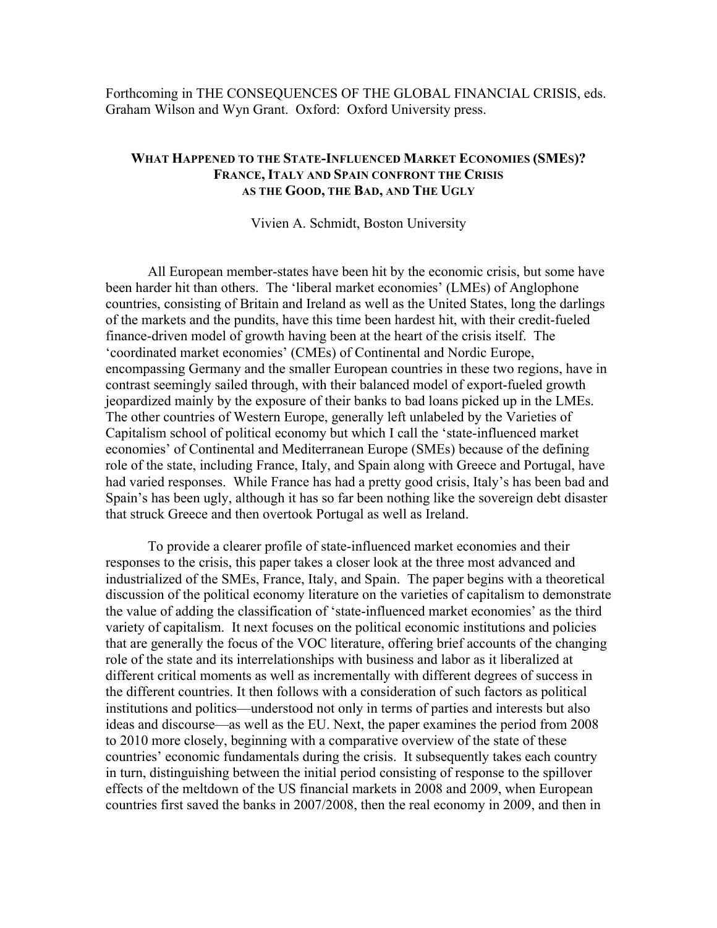Forthcoming in THE CONSEQUENCES OF THE GLOBAL FINANCIAL CRISIS, eds. Graham Wilson and Wyn Grant. Oxford: Oxford University press.

# **WHAT HAPPENED TO THE STATE-INFLUENCED MARKET ECONOMIES (SMES)? FRANCE, ITALY AND SPAIN CONFRONT THE CRISIS AS THE GOOD, THE BAD, AND THE UGLY**

Vivien A. Schmidt, Boston University

All European member-states have been hit by the economic crisis, but some have been harder hit than others. The 'liberal market economies' (LMEs) of Anglophone countries, consisting of Britain and Ireland as well as the United States, long the darlings of the markets and the pundits, have this time been hardest hit, with their credit-fueled finance-driven model of growth having been at the heart of the crisis itself. The 'coordinated market economies' (CMEs) of Continental and Nordic Europe, encompassing Germany and the smaller European countries in these two regions, have in contrast seemingly sailed through, with their balanced model of export-fueled growth jeopardized mainly by the exposure of their banks to bad loans picked up in the LMEs. The other countries of Western Europe, generally left unlabeled by the Varieties of Capitalism school of political economy but which I call the 'state-influenced market economies' of Continental and Mediterranean Europe (SMEs) because of the defining role of the state, including France, Italy, and Spain along with Greece and Portugal, have had varied responses. While France has had a pretty good crisis, Italy's has been bad and Spain's has been ugly, although it has so far been nothing like the sovereign debt disaster that struck Greece and then overtook Portugal as well as Ireland.

To provide a clearer profile of state-influenced market economies and their responses to the crisis, this paper takes a closer look at the three most advanced and industrialized of the SMEs, France, Italy, and Spain. The paper begins with a theoretical discussion of the political economy literature on the varieties of capitalism to demonstrate the value of adding the classification of 'state-influenced market economies' as the third variety of capitalism. It next focuses on the political economic institutions and policies that are generally the focus of the VOC literature, offering brief accounts of the changing role of the state and its interrelationships with business and labor as it liberalized at different critical moments as well as incrementally with different degrees of success in the different countries. It then follows with a consideration of such factors as political institutions and politics—understood not only in terms of parties and interests but also ideas and discourse—as well as the EU. Next, the paper examines the period from 2008 to 2010 more closely, beginning with a comparative overview of the state of these countries' economic fundamentals during the crisis. It subsequently takes each country in turn, distinguishing between the initial period consisting of response to the spillover effects of the meltdown of the US financial markets in 2008 and 2009, when European countries first saved the banks in 2007/2008, then the real economy in 2009, and then in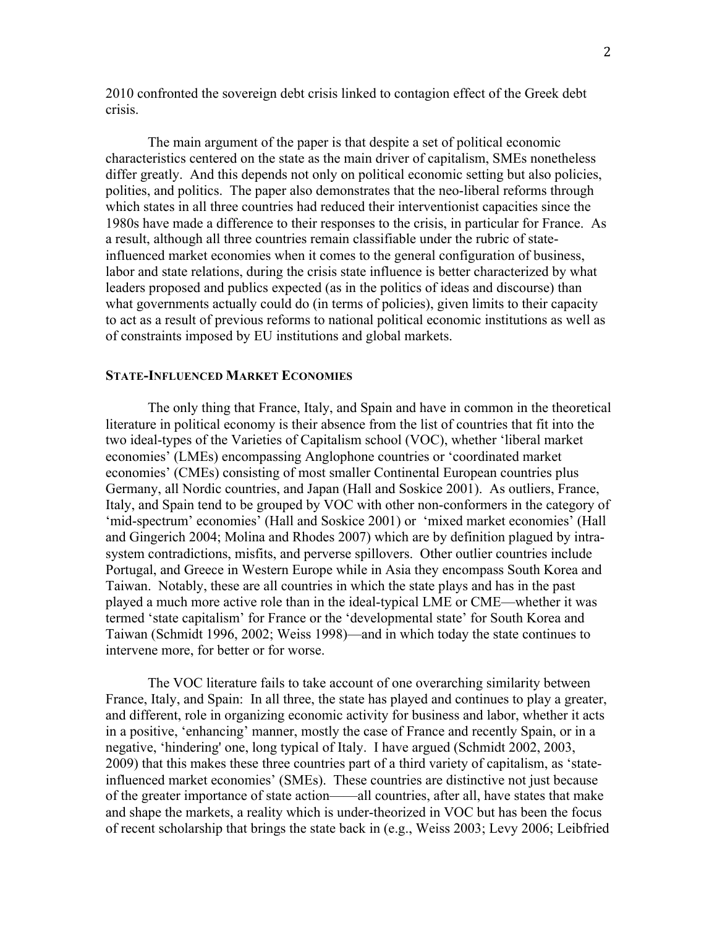2010 confronted the sovereign debt crisis linked to contagion effect of the Greek debt crisis.

The main argument of the paper is that despite a set of political economic characteristics centered on the state as the main driver of capitalism, SMEs nonetheless differ greatly. And this depends not only on political economic setting but also policies, polities, and politics. The paper also demonstrates that the neo-liberal reforms through which states in all three countries had reduced their interventionist capacities since the 1980s have made a difference to their responses to the crisis, in particular for France. As a result, although all three countries remain classifiable under the rubric of stateinfluenced market economies when it comes to the general configuration of business, labor and state relations, during the crisis state influence is better characterized by what leaders proposed and publics expected (as in the politics of ideas and discourse) than what governments actually could do (in terms of policies), given limits to their capacity to act as a result of previous reforms to national political economic institutions as well as of constraints imposed by EU institutions and global markets.

## **STATE-INFLUENCED MARKET ECONOMIES**

The only thing that France, Italy, and Spain and have in common in the theoretical literature in political economy is their absence from the list of countries that fit into the two ideal-types of the Varieties of Capitalism school (VOC), whether 'liberal market economies' (LMEs) encompassing Anglophone countries or 'coordinated market economies' (CMEs) consisting of most smaller Continental European countries plus Germany, all Nordic countries, and Japan (Hall and Soskice 2001). As outliers, France, Italy, and Spain tend to be grouped by VOC with other non-conformers in the category of 'mid-spectrum' economies' (Hall and Soskice 2001) or 'mixed market economies' (Hall and Gingerich 2004; Molina and Rhodes 2007) which are by definition plagued by intrasystem contradictions, misfits, and perverse spillovers. Other outlier countries include Portugal, and Greece in Western Europe while in Asia they encompass South Korea and Taiwan. Notably, these are all countries in which the state plays and has in the past played a much more active role than in the ideal-typical LME or CME—whether it was termed 'state capitalism' for France or the 'developmental state' for South Korea and Taiwan (Schmidt 1996, 2002; Weiss 1998)—and in which today the state continues to intervene more, for better or for worse.

The VOC literature fails to take account of one overarching similarity between France, Italy, and Spain: In all three, the state has played and continues to play a greater, and different, role in organizing economic activity for business and labor, whether it acts in a positive, 'enhancing' manner, mostly the case of France and recently Spain, or in a negative, 'hindering' one, long typical of Italy. I have argued (Schmidt 2002, 2003, 2009) that this makes these three countries part of a third variety of capitalism, as 'stateinfluenced market economies' (SMEs). These countries are distinctive not just because of the greater importance of state action——all countries, after all, have states that make and shape the markets, a reality which is under-theorized in VOC but has been the focus of recent scholarship that brings the state back in (e.g., Weiss 2003; Levy 2006; Leibfried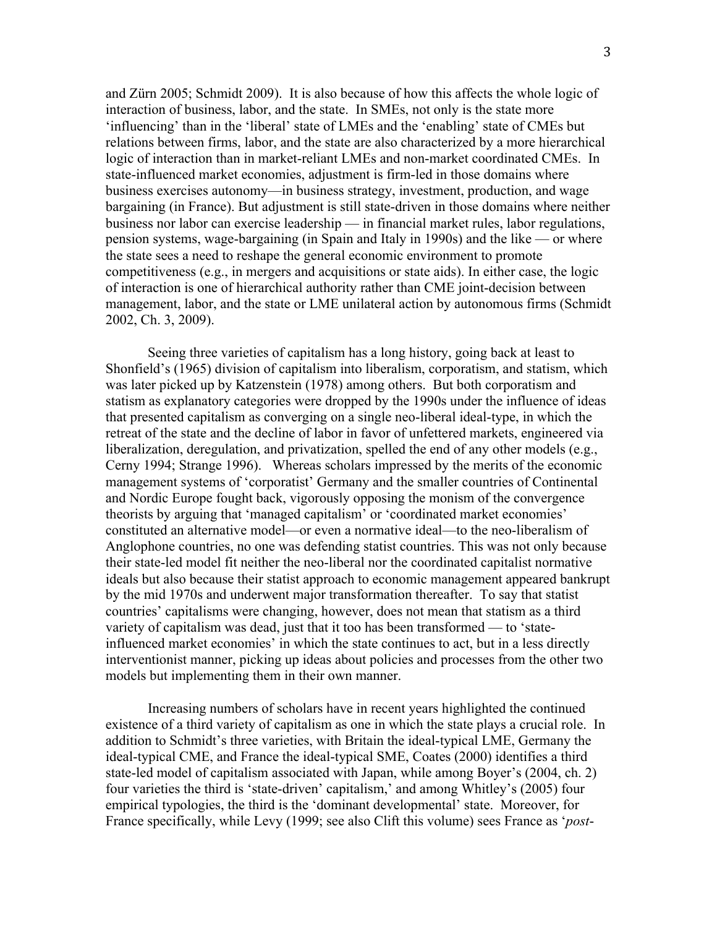and Zürn 2005; Schmidt 2009). It is also because of how this affects the whole logic of interaction of business, labor, and the state. In SMEs, not only is the state more 'influencing' than in the 'liberal' state of LMEs and the 'enabling' state of CMEs but relations between firms, labor, and the state are also characterized by a more hierarchical logic of interaction than in market-reliant LMEs and non-market coordinated CMEs. In state-influenced market economies, adjustment is firm-led in those domains where business exercises autonomy—in business strategy, investment, production, and wage bargaining (in France). But adjustment is still state-driven in those domains where neither business nor labor can exercise leadership — in financial market rules, labor regulations, pension systems, wage-bargaining (in Spain and Italy in 1990s) and the like — or where the state sees a need to reshape the general economic environment to promote competitiveness (e.g., in mergers and acquisitions or state aids). In either case, the logic of interaction is one of hierarchical authority rather than CME joint-decision between management, labor, and the state or LME unilateral action by autonomous firms (Schmidt 2002, Ch. 3, 2009).

Seeing three varieties of capitalism has a long history, going back at least to Shonfield's (1965) division of capitalism into liberalism, corporatism, and statism, which was later picked up by Katzenstein (1978) among others. But both corporatism and statism as explanatory categories were dropped by the 1990s under the influence of ideas that presented capitalism as converging on a single neo-liberal ideal-type, in which the retreat of the state and the decline of labor in favor of unfettered markets, engineered via liberalization, deregulation, and privatization, spelled the end of any other models (e.g., Cerny 1994; Strange 1996). Whereas scholars impressed by the merits of the economic management systems of 'corporatist' Germany and the smaller countries of Continental and Nordic Europe fought back, vigorously opposing the monism of the convergence theorists by arguing that 'managed capitalism' or 'coordinated market economies' constituted an alternative model—or even a normative ideal—to the neo-liberalism of Anglophone countries, no one was defending statist countries. This was not only because their state-led model fit neither the neo-liberal nor the coordinated capitalist normative ideals but also because their statist approach to economic management appeared bankrupt by the mid 1970s and underwent major transformation thereafter. To say that statist countries' capitalisms were changing, however, does not mean that statism as a third variety of capitalism was dead, just that it too has been transformed — to 'stateinfluenced market economies' in which the state continues to act, but in a less directly interventionist manner, picking up ideas about policies and processes from the other two models but implementing them in their own manner.

Increasing numbers of scholars have in recent years highlighted the continued existence of a third variety of capitalism as one in which the state plays a crucial role. In addition to Schmidt's three varieties, with Britain the ideal-typical LME, Germany the ideal-typical CME, and France the ideal-typical SME, Coates (2000) identifies a third state-led model of capitalism associated with Japan, while among Boyer's (2004, ch. 2) four varieties the third is 'state-driven' capitalism,' and among Whitley's (2005) four empirical typologies, the third is the 'dominant developmental' state. Moreover, for France specifically, while Levy (1999; see also Clift this volume) sees France as '*post*-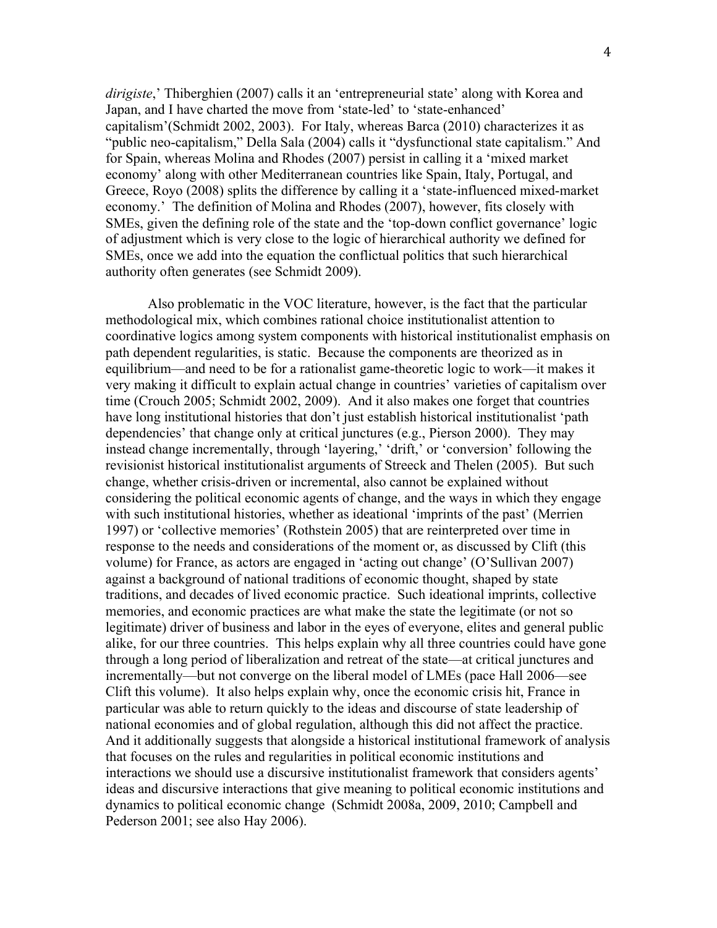*dirigiste*,' Thiberghien (2007) calls it an 'entrepreneurial state' along with Korea and Japan, and I have charted the move from 'state-led' to 'state-enhanced' capitalism'(Schmidt 2002, 2003). For Italy, whereas Barca (2010) characterizes it as "public neo-capitalism," Della Sala (2004) calls it "dysfunctional state capitalism." And for Spain, whereas Molina and Rhodes (2007) persist in calling it a 'mixed market economy' along with other Mediterranean countries like Spain, Italy, Portugal, and Greece, Royo (2008) splits the difference by calling it a 'state-influenced mixed-market economy.' The definition of Molina and Rhodes (2007), however, fits closely with SMEs, given the defining role of the state and the 'top-down conflict governance' logic of adjustment which is very close to the logic of hierarchical authority we defined for SMEs, once we add into the equation the conflictual politics that such hierarchical authority often generates (see Schmidt 2009).

Also problematic in the VOC literature, however, is the fact that the particular methodological mix, which combines rational choice institutionalist attention to coordinative logics among system components with historical institutionalist emphasis on path dependent regularities, is static. Because the components are theorized as in equilibrium—and need to be for a rationalist game-theoretic logic to work—it makes it very making it difficult to explain actual change in countries' varieties of capitalism over time (Crouch 2005; Schmidt 2002, 2009). And it also makes one forget that countries have long institutional histories that don't just establish historical institutionalist 'path dependencies' that change only at critical junctures (e.g., Pierson 2000). They may instead change incrementally, through 'layering,' 'drift,' or 'conversion' following the revisionist historical institutionalist arguments of Streeck and Thelen (2005). But such change, whether crisis-driven or incremental, also cannot be explained without considering the political economic agents of change, and the ways in which they engage with such institutional histories, whether as ideational 'imprints of the past' (Merrien 1997) or 'collective memories' (Rothstein 2005) that are reinterpreted over time in response to the needs and considerations of the moment or, as discussed by Clift (this volume) for France, as actors are engaged in 'acting out change' (O'Sullivan 2007) against a background of national traditions of economic thought, shaped by state traditions, and decades of lived economic practice. Such ideational imprints, collective memories, and economic practices are what make the state the legitimate (or not so legitimate) driver of business and labor in the eyes of everyone, elites and general public alike, for our three countries. This helps explain why all three countries could have gone through a long period of liberalization and retreat of the state—at critical junctures and incrementally—but not converge on the liberal model of LMEs (pace Hall 2006—see Clift this volume). It also helps explain why, once the economic crisis hit, France in particular was able to return quickly to the ideas and discourse of state leadership of national economies and of global regulation, although this did not affect the practice. And it additionally suggests that alongside a historical institutional framework of analysis that focuses on the rules and regularities in political economic institutions and interactions we should use a discursive institutionalist framework that considers agents' ideas and discursive interactions that give meaning to political economic institutions and dynamics to political economic change (Schmidt 2008a, 2009, 2010; Campbell and Pederson 2001; see also Hay 2006).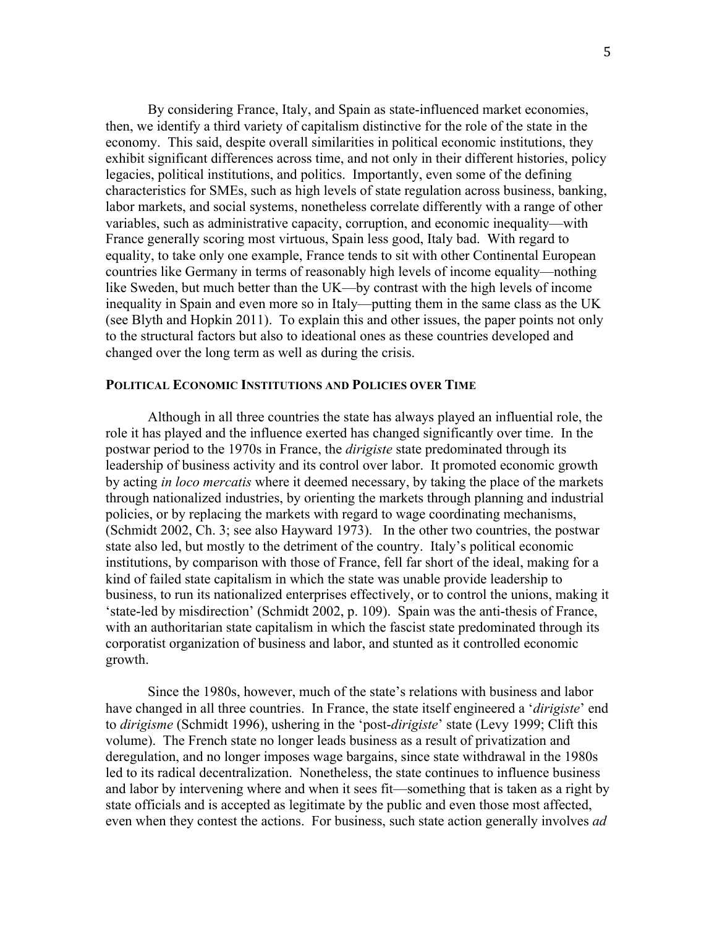By considering France, Italy, and Spain as state-influenced market economies, then, we identify a third variety of capitalism distinctive for the role of the state in the economy. This said, despite overall similarities in political economic institutions, they exhibit significant differences across time, and not only in their different histories, policy legacies, political institutions, and politics. Importantly, even some of the defining characteristics for SMEs, such as high levels of state regulation across business, banking, labor markets, and social systems, nonetheless correlate differently with a range of other variables, such as administrative capacity, corruption, and economic inequality—with France generally scoring most virtuous, Spain less good, Italy bad. With regard to equality, to take only one example, France tends to sit with other Continental European countries like Germany in terms of reasonably high levels of income equality—nothing like Sweden, but much better than the UK—by contrast with the high levels of income inequality in Spain and even more so in Italy—putting them in the same class as the UK (see Blyth and Hopkin 2011). To explain this and other issues, the paper points not only to the structural factors but also to ideational ones as these countries developed and changed over the long term as well as during the crisis.

#### **POLITICAL ECONOMIC INSTITUTIONS AND POLICIES OVER TIME**

Although in all three countries the state has always played an influential role, the role it has played and the influence exerted has changed significantly over time. In the postwar period to the 1970s in France, the *dirigiste* state predominated through its leadership of business activity and its control over labor. It promoted economic growth by acting *in loco mercatis* where it deemed necessary, by taking the place of the markets through nationalized industries, by orienting the markets through planning and industrial policies, or by replacing the markets with regard to wage coordinating mechanisms, (Schmidt 2002, Ch. 3; see also Hayward 1973). In the other two countries, the postwar state also led, but mostly to the detriment of the country. Italy's political economic institutions, by comparison with those of France, fell far short of the ideal, making for a kind of failed state capitalism in which the state was unable provide leadership to business, to run its nationalized enterprises effectively, or to control the unions, making it 'state-led by misdirection' (Schmidt 2002, p. 109). Spain was the anti-thesis of France, with an authoritarian state capitalism in which the fascist state predominated through its corporatist organization of business and labor, and stunted as it controlled economic growth.

Since the 1980s, however, much of the state's relations with business and labor have changed in all three countries. In France, the state itself engineered a '*dirigiste*' end to *dirigisme* (Schmidt 1996), ushering in the 'post-*dirigiste*' state (Levy 1999; Clift this volume). The French state no longer leads business as a result of privatization and deregulation, and no longer imposes wage bargains, since state withdrawal in the 1980s led to its radical decentralization. Nonetheless, the state continues to influence business and labor by intervening where and when it sees fit—something that is taken as a right by state officials and is accepted as legitimate by the public and even those most affected, even when they contest the actions. For business, such state action generally involves *ad*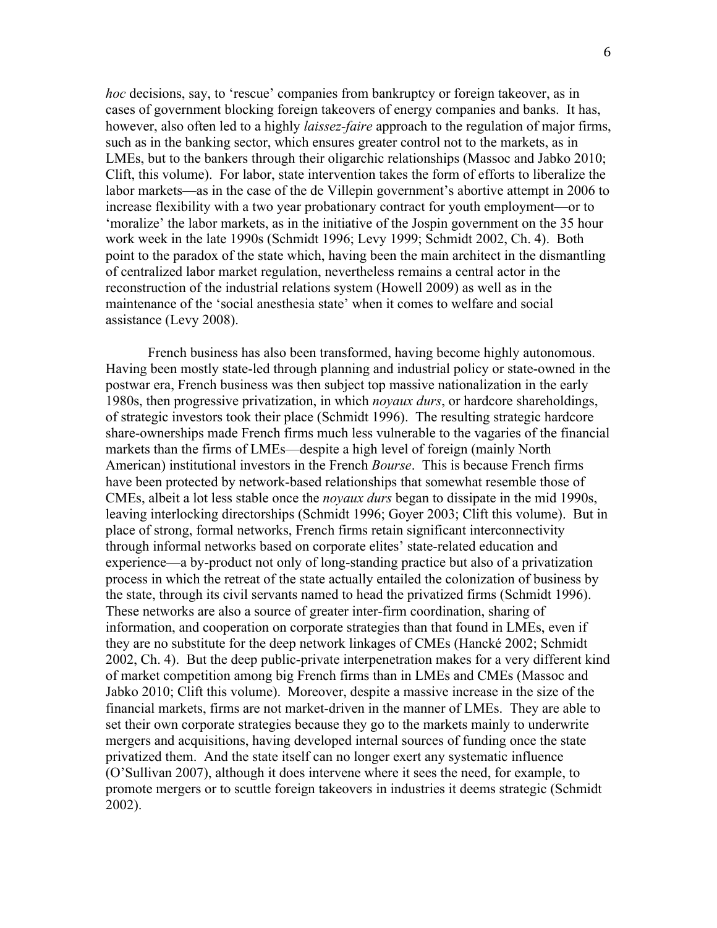*hoc* decisions, say, to 'rescue' companies from bankruptcy or foreign takeover, as in cases of government blocking foreign takeovers of energy companies and banks. It has, however, also often led to a highly *laissez-faire* approach to the regulation of major firms, such as in the banking sector, which ensures greater control not to the markets, as in LMEs, but to the bankers through their oligarchic relationships (Massoc and Jabko 2010; Clift, this volume). For labor, state intervention takes the form of efforts to liberalize the labor markets—as in the case of the de Villepin government's abortive attempt in 2006 to increase flexibility with a two year probationary contract for youth employment—or to 'moralize' the labor markets, as in the initiative of the Jospin government on the 35 hour work week in the late 1990s (Schmidt 1996; Levy 1999; Schmidt 2002, Ch. 4). Both point to the paradox of the state which, having been the main architect in the dismantling of centralized labor market regulation, nevertheless remains a central actor in the reconstruction of the industrial relations system (Howell 2009) as well as in the maintenance of the 'social anesthesia state' when it comes to welfare and social assistance (Levy 2008).

French business has also been transformed, having become highly autonomous. Having been mostly state-led through planning and industrial policy or state-owned in the postwar era, French business was then subject top massive nationalization in the early 1980s, then progressive privatization, in which *noyaux durs*, or hardcore shareholdings, of strategic investors took their place (Schmidt 1996). The resulting strategic hardcore share-ownerships made French firms much less vulnerable to the vagaries of the financial markets than the firms of LMEs—despite a high level of foreign (mainly North American) institutional investors in the French *Bourse*. This is because French firms have been protected by network-based relationships that somewhat resemble those of CMEs, albeit a lot less stable once the *noyaux durs* began to dissipate in the mid 1990s, leaving interlocking directorships (Schmidt 1996; Goyer 2003; Clift this volume). But in place of strong, formal networks, French firms retain significant interconnectivity through informal networks based on corporate elites' state-related education and experience—a by-product not only of long-standing practice but also of a privatization process in which the retreat of the state actually entailed the colonization of business by the state, through its civil servants named to head the privatized firms (Schmidt 1996). These networks are also a source of greater inter-firm coordination, sharing of information, and cooperation on corporate strategies than that found in LMEs, even if they are no substitute for the deep network linkages of CMEs (Hancké 2002; Schmidt 2002, Ch. 4). But the deep public-private interpenetration makes for a very different kind of market competition among big French firms than in LMEs and CMEs (Massoc and Jabko 2010; Clift this volume). Moreover, despite a massive increase in the size of the financial markets, firms are not market-driven in the manner of LMEs. They are able to set their own corporate strategies because they go to the markets mainly to underwrite mergers and acquisitions, having developed internal sources of funding once the state privatized them. And the state itself can no longer exert any systematic influence (O'Sullivan 2007), although it does intervene where it sees the need, for example, to promote mergers or to scuttle foreign takeovers in industries it deems strategic (Schmidt 2002).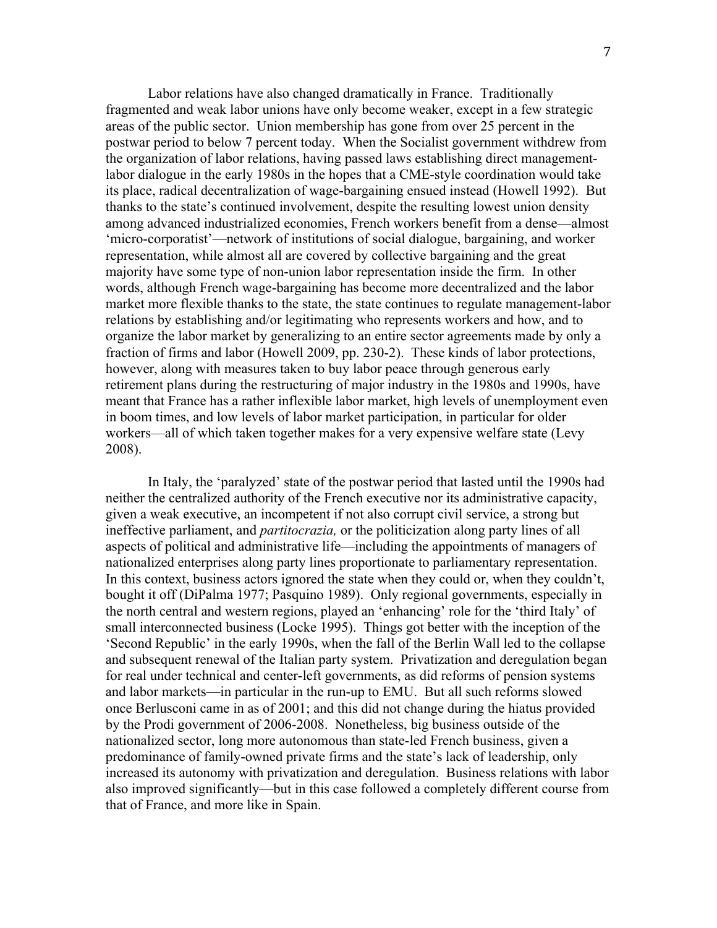Labor relations have also changed dramatically in France. Traditionally fragmented and weak labor unions have only become weaker, except in a few strategic areas of the public sector. Union membership has gone from over 25 percent in the postwar period to below 7 percent today. When the Socialist government withdrew from the organization of labor relations, having passed laws establishing direct managementlabor dialogue in the early 1980s in the hopes that a CME-style coordination would take its place, radical decentralization of wage-bargaining ensued instead (Howell 1992). But thanks to the state's continued involvement, despite the resulting lowest union density among advanced industrialized economies, French workers benefit from a dense—almost 'micro-corporatist'—network of institutions of social dialogue, bargaining, and worker representation, while almost all are covered by collective bargaining and the great majority have some type of non-union labor representation inside the firm. In other words, although French wage-bargaining has become more decentralized and the labor market more flexible thanks to the state, the state continues to regulate management-labor relations by establishing and/or legitimating who represents workers and how, and to organize the labor market by generalizing to an entire sector agreements made by only a fraction of firms and labor (Howell 2009, pp. 230-2). These kinds of labor protections, however, along with measures taken to buy labor peace through generous early retirement plans during the restructuring of major industry in the 1980s and 1990s, have meant that France has a rather inflexible labor market, high levels of unemployment even in boom times, and low levels of labor market participation, in particular for older workers—all of which taken together makes for a very expensive welfare state (Levy 2008).

In Italy, the 'paralyzed' state of the postwar period that lasted until the 1990s had neither the centralized authority of the French executive nor its administrative capacity, given a weak executive, an incompetent if not also corrupt civil service, a strong but ineffective parliament, and *partitocrazia,* or the politicization along party lines of all aspects of political and administrative life—including the appointments of managers of nationalized enterprises along party lines proportionate to parliamentary representation. In this context, business actors ignored the state when they could or, when they couldn't, bought it off (DiPalma 1977; Pasquino 1989). Only regional governments, especially in the north central and western regions, played an 'enhancing' role for the 'third Italy' of small interconnected business (Locke 1995). Things got better with the inception of the 'Second Republic' in the early 1990s, when the fall of the Berlin Wall led to the collapse and subsequent renewal of the Italian party system. Privatization and deregulation began for real under technical and center-left governments, as did reforms of pension systems and labor markets—in particular in the run-up to EMU. But all such reforms slowed once Berlusconi came in as of 2001; and this did not change during the hiatus provided by the Prodi government of 2006-2008. Nonetheless, big business outside of the nationalized sector, long more autonomous than state-led French business, given a predominance of family-owned private firms and the state's lack of leadership, only increased its autonomy with privatization and deregulation. Business relations with labor also improved significantly—but in this case followed a completely different course from that of France, and more like in Spain.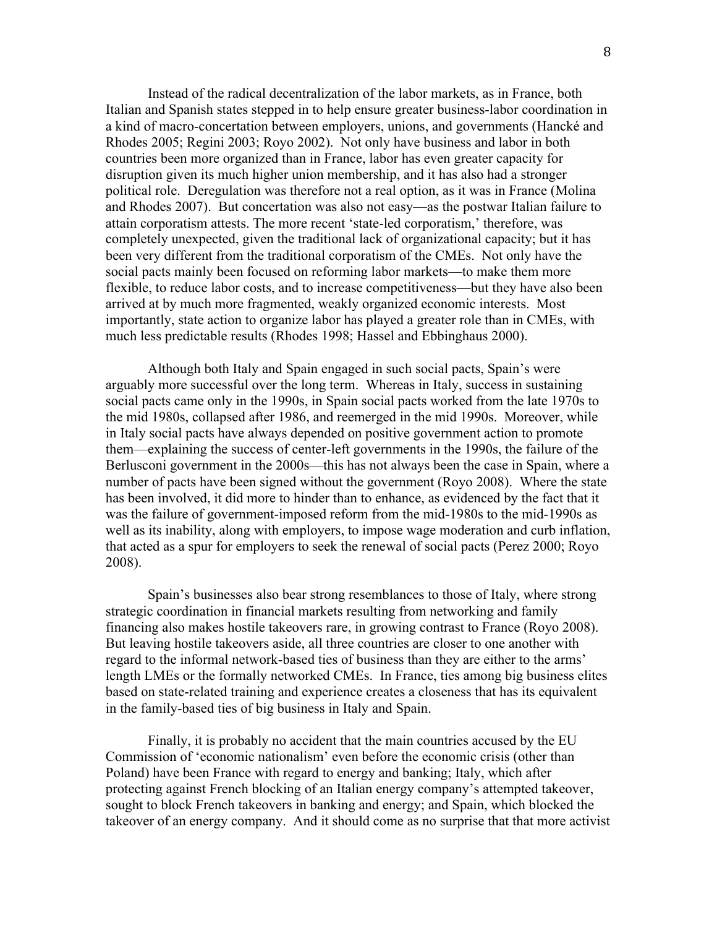Instead of the radical decentralization of the labor markets, as in France, both Italian and Spanish states stepped in to help ensure greater business-labor coordination in a kind of macro-concertation between employers, unions, and governments (Hancké and Rhodes 2005; Regini 2003; Royo 2002). Not only have business and labor in both countries been more organized than in France, labor has even greater capacity for disruption given its much higher union membership, and it has also had a stronger political role. Deregulation was therefore not a real option, as it was in France (Molina and Rhodes 2007). But concertation was also not easy—as the postwar Italian failure to attain corporatism attests. The more recent 'state-led corporatism,' therefore, was completely unexpected, given the traditional lack of organizational capacity; but it has been very different from the traditional corporatism of the CMEs. Not only have the social pacts mainly been focused on reforming labor markets—to make them more flexible, to reduce labor costs, and to increase competitiveness—but they have also been arrived at by much more fragmented, weakly organized economic interests. Most importantly, state action to organize labor has played a greater role than in CMEs, with much less predictable results (Rhodes 1998; Hassel and Ebbinghaus 2000).

Although both Italy and Spain engaged in such social pacts, Spain's were arguably more successful over the long term. Whereas in Italy, success in sustaining social pacts came only in the 1990s, in Spain social pacts worked from the late 1970s to the mid 1980s, collapsed after 1986, and reemerged in the mid 1990s. Moreover, while in Italy social pacts have always depended on positive government action to promote them—explaining the success of center-left governments in the 1990s, the failure of the Berlusconi government in the 2000s—this has not always been the case in Spain, where a number of pacts have been signed without the government (Royo 2008). Where the state has been involved, it did more to hinder than to enhance, as evidenced by the fact that it was the failure of government-imposed reform from the mid-1980s to the mid-1990s as well as its inability, along with employers, to impose wage moderation and curb inflation, that acted as a spur for employers to seek the renewal of social pacts (Perez 2000; Royo 2008).

Spain's businesses also bear strong resemblances to those of Italy, where strong strategic coordination in financial markets resulting from networking and family financing also makes hostile takeovers rare, in growing contrast to France (Royo 2008). But leaving hostile takeovers aside, all three countries are closer to one another with regard to the informal network-based ties of business than they are either to the arms' length LMEs or the formally networked CMEs. In France, ties among big business elites based on state-related training and experience creates a closeness that has its equivalent in the family-based ties of big business in Italy and Spain.

Finally, it is probably no accident that the main countries accused by the EU Commission of 'economic nationalism' even before the economic crisis (other than Poland) have been France with regard to energy and banking; Italy, which after protecting against French blocking of an Italian energy company's attempted takeover, sought to block French takeovers in banking and energy; and Spain, which blocked the takeover of an energy company. And it should come as no surprise that that more activist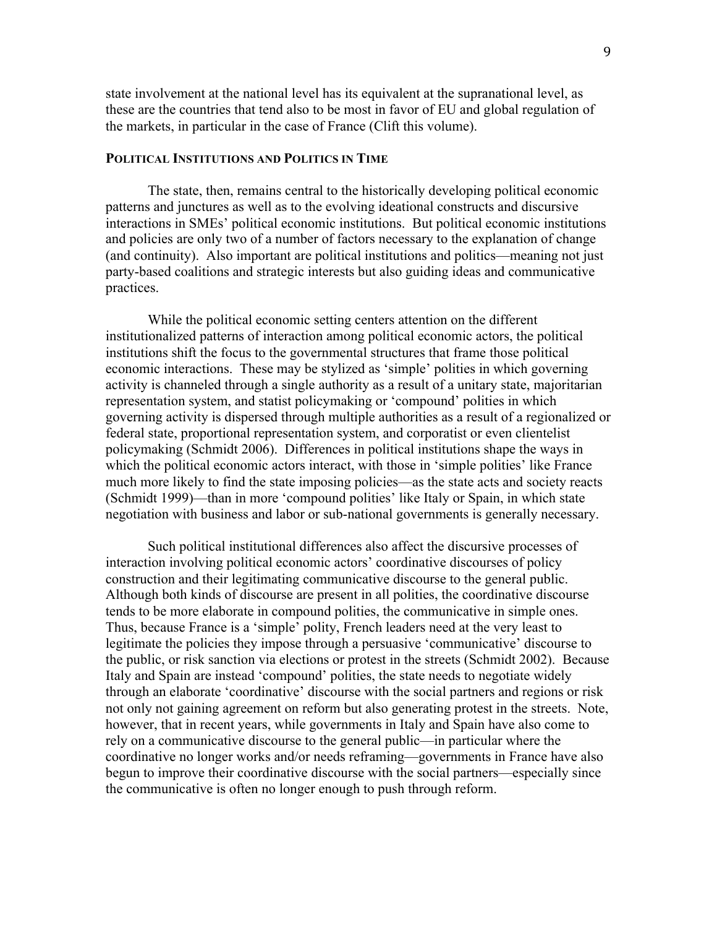state involvement at the national level has its equivalent at the supranational level, as these are the countries that tend also to be most in favor of EU and global regulation of the markets, in particular in the case of France (Clift this volume).

#### **POLITICAL INSTITUTIONS AND POLITICS IN TIME**

The state, then, remains central to the historically developing political economic patterns and junctures as well as to the evolving ideational constructs and discursive interactions in SMEs' political economic institutions. But political economic institutions and policies are only two of a number of factors necessary to the explanation of change (and continuity). Also important are political institutions and politics—meaning not just party-based coalitions and strategic interests but also guiding ideas and communicative practices.

While the political economic setting centers attention on the different institutionalized patterns of interaction among political economic actors, the political institutions shift the focus to the governmental structures that frame those political economic interactions. These may be stylized as 'simple' polities in which governing activity is channeled through a single authority as a result of a unitary state, majoritarian representation system, and statist policymaking or 'compound' polities in which governing activity is dispersed through multiple authorities as a result of a regionalized or federal state, proportional representation system, and corporatist or even clientelist policymaking (Schmidt 2006). Differences in political institutions shape the ways in which the political economic actors interact, with those in 'simple polities' like France much more likely to find the state imposing policies—as the state acts and society reacts (Schmidt 1999)—than in more 'compound polities' like Italy or Spain, in which state negotiation with business and labor or sub-national governments is generally necessary.

Such political institutional differences also affect the discursive processes of interaction involving political economic actors' coordinative discourses of policy construction and their legitimating communicative discourse to the general public. Although both kinds of discourse are present in all polities, the coordinative discourse tends to be more elaborate in compound polities, the communicative in simple ones. Thus, because France is a 'simple' polity, French leaders need at the very least to legitimate the policies they impose through a persuasive 'communicative' discourse to the public, or risk sanction via elections or protest in the streets (Schmidt 2002). Because Italy and Spain are instead 'compound' polities, the state needs to negotiate widely through an elaborate 'coordinative' discourse with the social partners and regions or risk not only not gaining agreement on reform but also generating protest in the streets. Note, however, that in recent years, while governments in Italy and Spain have also come to rely on a communicative discourse to the general public—in particular where the coordinative no longer works and/or needs reframing—governments in France have also begun to improve their coordinative discourse with the social partners—especially since the communicative is often no longer enough to push through reform.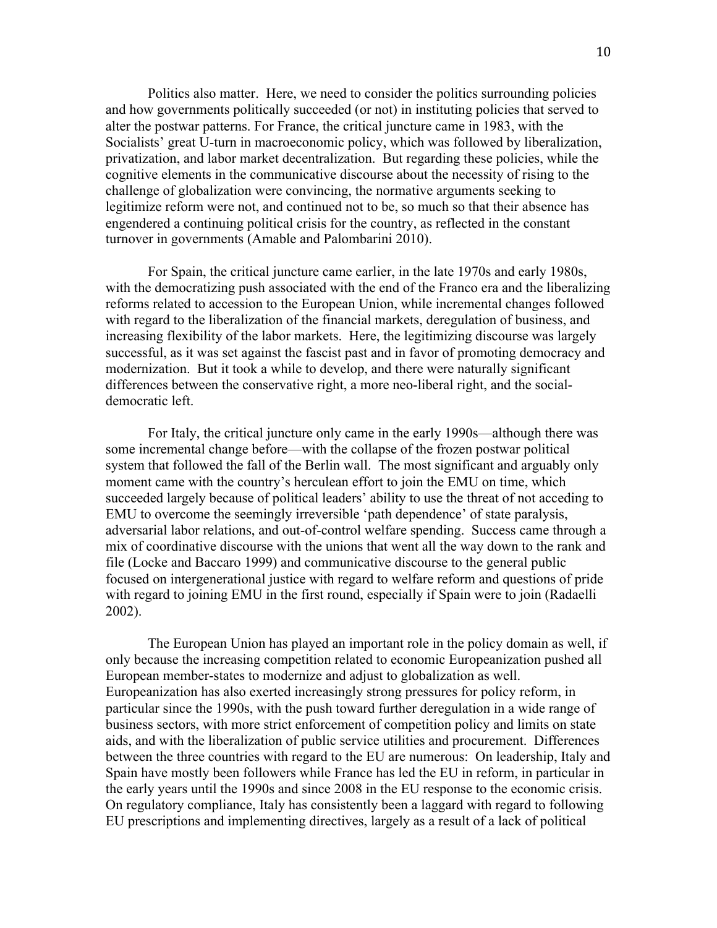Politics also matter. Here, we need to consider the politics surrounding policies and how governments politically succeeded (or not) in instituting policies that served to alter the postwar patterns. For France, the critical juncture came in 1983, with the Socialists' great U-turn in macroeconomic policy, which was followed by liberalization, privatization, and labor market decentralization. But regarding these policies, while the cognitive elements in the communicative discourse about the necessity of rising to the challenge of globalization were convincing, the normative arguments seeking to legitimize reform were not, and continued not to be, so much so that their absence has engendered a continuing political crisis for the country, as reflected in the constant turnover in governments (Amable and Palombarini 2010).

For Spain, the critical juncture came earlier, in the late 1970s and early 1980s, with the democratizing push associated with the end of the Franco era and the liberalizing reforms related to accession to the European Union, while incremental changes followed with regard to the liberalization of the financial markets, deregulation of business, and increasing flexibility of the labor markets. Here, the legitimizing discourse was largely successful, as it was set against the fascist past and in favor of promoting democracy and modernization. But it took a while to develop, and there were naturally significant differences between the conservative right, a more neo-liberal right, and the socialdemocratic left.

For Italy, the critical juncture only came in the early 1990s—although there was some incremental change before—with the collapse of the frozen postwar political system that followed the fall of the Berlin wall. The most significant and arguably only moment came with the country's herculean effort to join the EMU on time, which succeeded largely because of political leaders' ability to use the threat of not acceding to EMU to overcome the seemingly irreversible 'path dependence' of state paralysis, adversarial labor relations, and out-of-control welfare spending. Success came through a mix of coordinative discourse with the unions that went all the way down to the rank and file (Locke and Baccaro 1999) and communicative discourse to the general public focused on intergenerational justice with regard to welfare reform and questions of pride with regard to joining EMU in the first round, especially if Spain were to join (Radaelli 2002).

The European Union has played an important role in the policy domain as well, if only because the increasing competition related to economic Europeanization pushed all European member-states to modernize and adjust to globalization as well. Europeanization has also exerted increasingly strong pressures for policy reform, in particular since the 1990s, with the push toward further deregulation in a wide range of business sectors, with more strict enforcement of competition policy and limits on state aids, and with the liberalization of public service utilities and procurement. Differences between the three countries with regard to the EU are numerous: On leadership, Italy and Spain have mostly been followers while France has led the EU in reform, in particular in the early years until the 1990s and since 2008 in the EU response to the economic crisis. On regulatory compliance, Italy has consistently been a laggard with regard to following EU prescriptions and implementing directives, largely as a result of a lack of political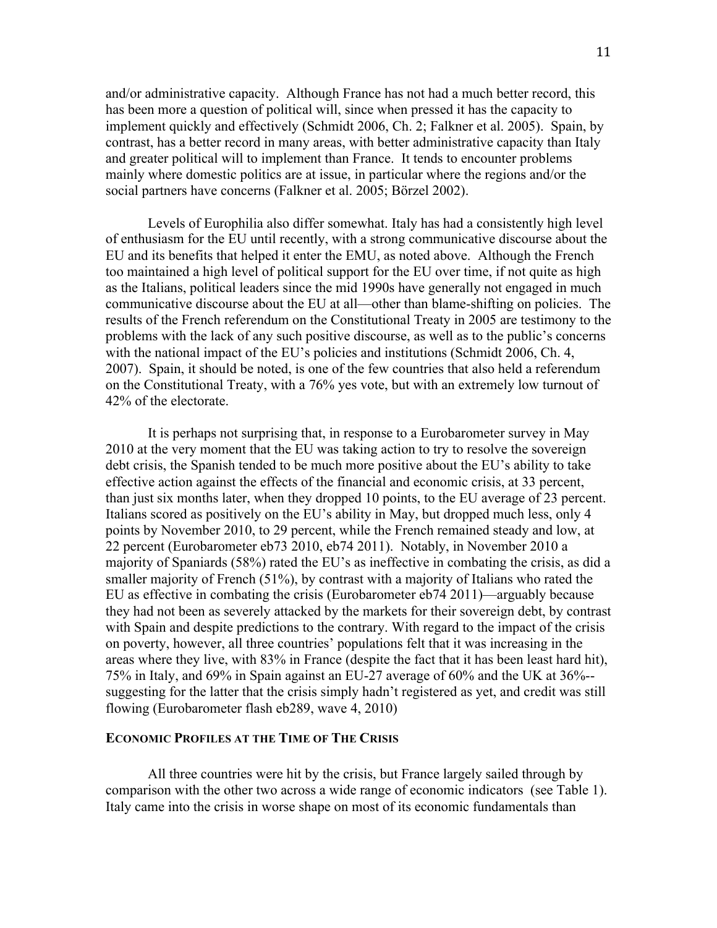and/or administrative capacity. Although France has not had a much better record, this has been more a question of political will, since when pressed it has the capacity to implement quickly and effectively (Schmidt 2006, Ch. 2; Falkner et al. 2005). Spain, by contrast, has a better record in many areas, with better administrative capacity than Italy and greater political will to implement than France. It tends to encounter problems mainly where domestic politics are at issue, in particular where the regions and/or the social partners have concerns (Falkner et al. 2005; Börzel 2002).

Levels of Europhilia also differ somewhat. Italy has had a consistently high level of enthusiasm for the EU until recently, with a strong communicative discourse about the EU and its benefits that helped it enter the EMU, as noted above. Although the French too maintained a high level of political support for the EU over time, if not quite as high as the Italians, political leaders since the mid 1990s have generally not engaged in much communicative discourse about the EU at all—other than blame-shifting on policies. The results of the French referendum on the Constitutional Treaty in 2005 are testimony to the problems with the lack of any such positive discourse, as well as to the public's concerns with the national impact of the EU's policies and institutions (Schmidt 2006, Ch. 4, 2007). Spain, it should be noted, is one of the few countries that also held a referendum on the Constitutional Treaty, with a 76% yes vote, but with an extremely low turnout of 42% of the electorate.

It is perhaps not surprising that, in response to a Eurobarometer survey in May 2010 at the very moment that the EU was taking action to try to resolve the sovereign debt crisis, the Spanish tended to be much more positive about the EU's ability to take effective action against the effects of the financial and economic crisis, at 33 percent, than just six months later, when they dropped 10 points, to the EU average of 23 percent. Italians scored as positively on the EU's ability in May, but dropped much less, only 4 points by November 2010, to 29 percent, while the French remained steady and low, at 22 percent (Eurobarometer eb73 2010, eb74 2011). Notably, in November 2010 a majority of Spaniards (58%) rated the EU's as ineffective in combating the crisis, as did a smaller majority of French (51%), by contrast with a majority of Italians who rated the EU as effective in combating the crisis (Eurobarometer eb74 2011)—arguably because they had not been as severely attacked by the markets for their sovereign debt, by contrast with Spain and despite predictions to the contrary. With regard to the impact of the crisis on poverty, however, all three countries' populations felt that it was increasing in the areas where they live, with 83% in France (despite the fact that it has been least hard hit), 75% in Italy, and 69% in Spain against an EU-27 average of 60% and the UK at 36%- suggesting for the latter that the crisis simply hadn't registered as yet, and credit was still flowing (Eurobarometer flash eb289, wave 4, 2010)

## **ECONOMIC PROFILES AT THE TIME OF THE CRISIS**

All three countries were hit by the crisis, but France largely sailed through by comparison with the other two across a wide range of economic indicators (see Table 1). Italy came into the crisis in worse shape on most of its economic fundamentals than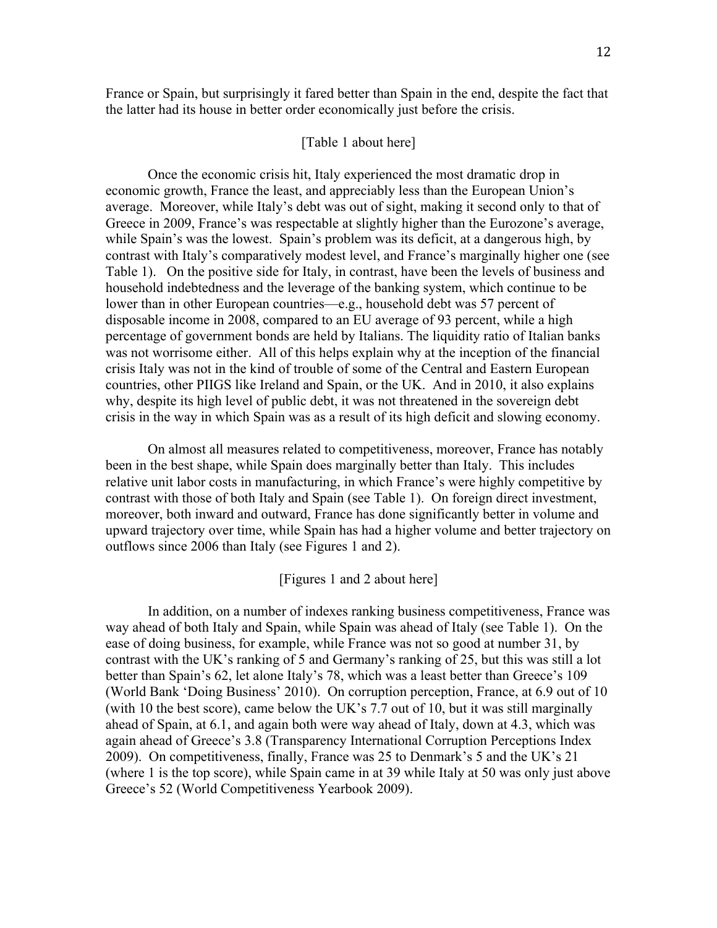## [Table 1 about here]

Once the economic crisis hit, Italy experienced the most dramatic drop in economic growth, France the least, and appreciably less than the European Union's average. Moreover, while Italy's debt was out of sight, making it second only to that of Greece in 2009, France's was respectable at slightly higher than the Eurozone's average, while Spain's was the lowest. Spain's problem was its deficit, at a dangerous high, by contrast with Italy's comparatively modest level, and France's marginally higher one (see Table 1). On the positive side for Italy, in contrast, have been the levels of business and household indebtedness and the leverage of the banking system, which continue to be lower than in other European countries—e.g., household debt was 57 percent of disposable income in 2008, compared to an EU average of 93 percent, while a high percentage of government bonds are held by Italians. The liquidity ratio of Italian banks was not worrisome either. All of this helps explain why at the inception of the financial crisis Italy was not in the kind of trouble of some of the Central and Eastern European countries, other PIIGS like Ireland and Spain, or the UK. And in 2010, it also explains why, despite its high level of public debt, it was not threatened in the sovereign debt crisis in the way in which Spain was as a result of its high deficit and slowing economy.

On almost all measures related to competitiveness, moreover, France has notably been in the best shape, while Spain does marginally better than Italy. This includes relative unit labor costs in manufacturing, in which France's were highly competitive by contrast with those of both Italy and Spain (see Table 1). On foreign direct investment, moreover, both inward and outward, France has done significantly better in volume and upward trajectory over time, while Spain has had a higher volume and better trajectory on outflows since 2006 than Italy (see Figures 1 and 2).

## [Figures 1 and 2 about here]

In addition, on a number of indexes ranking business competitiveness, France was way ahead of both Italy and Spain, while Spain was ahead of Italy (see Table 1). On the ease of doing business, for example, while France was not so good at number 31, by contrast with the UK's ranking of 5 and Germany's ranking of 25, but this was still a lot better than Spain's 62, let alone Italy's 78, which was a least better than Greece's 109 (World Bank 'Doing Business' 2010). On corruption perception, France, at 6.9 out of 10 (with 10 the best score), came below the UK's 7.7 out of 10, but it was still marginally ahead of Spain, at 6.1, and again both were way ahead of Italy, down at 4.3, which was again ahead of Greece's 3.8 (Transparency International Corruption Perceptions Index 2009). On competitiveness, finally, France was 25 to Denmark's 5 and the UK's 21 (where 1 is the top score), while Spain came in at 39 while Italy at 50 was only just above Greece's 52 (World Competitiveness Yearbook 2009).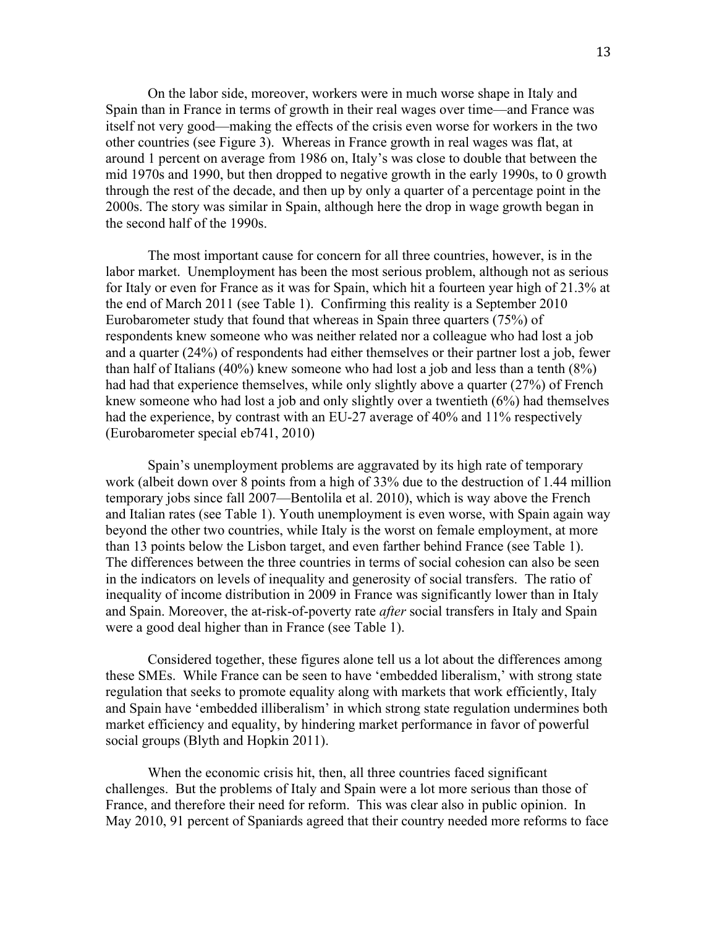On the labor side, moreover, workers were in much worse shape in Italy and Spain than in France in terms of growth in their real wages over time—and France was itself not very good—making the effects of the crisis even worse for workers in the two other countries (see Figure 3). Whereas in France growth in real wages was flat, at around 1 percent on average from 1986 on, Italy's was close to double that between the mid 1970s and 1990, but then dropped to negative growth in the early 1990s, to 0 growth through the rest of the decade, and then up by only a quarter of a percentage point in the 2000s. The story was similar in Spain, although here the drop in wage growth began in the second half of the 1990s.

The most important cause for concern for all three countries, however, is in the labor market. Unemployment has been the most serious problem, although not as serious for Italy or even for France as it was for Spain, which hit a fourteen year high of 21.3% at the end of March 2011 (see Table 1). Confirming this reality is a September 2010 Eurobarometer study that found that whereas in Spain three quarters (75%) of respondents knew someone who was neither related nor a colleague who had lost a job and a quarter (24%) of respondents had either themselves or their partner lost a job, fewer than half of Italians (40%) knew someone who had lost a job and less than a tenth (8%) had had that experience themselves, while only slightly above a quarter (27%) of French knew someone who had lost a job and only slightly over a twentieth (6%) had themselves had the experience, by contrast with an EU-27 average of 40% and 11% respectively (Eurobarometer special eb741, 2010)

Spain's unemployment problems are aggravated by its high rate of temporary work (albeit down over 8 points from a high of 33% due to the destruction of 1.44 million temporary jobs since fall 2007—Bentolila et al. 2010), which is way above the French and Italian rates (see Table 1). Youth unemployment is even worse, with Spain again way beyond the other two countries, while Italy is the worst on female employment, at more than 13 points below the Lisbon target, and even farther behind France (see Table 1). The differences between the three countries in terms of social cohesion can also be seen in the indicators on levels of inequality and generosity of social transfers. The ratio of inequality of income distribution in 2009 in France was significantly lower than in Italy and Spain. Moreover, the at-risk-of-poverty rate *after* social transfers in Italy and Spain were a good deal higher than in France (see Table 1).

Considered together, these figures alone tell us a lot about the differences among these SMEs. While France can be seen to have 'embedded liberalism,' with strong state regulation that seeks to promote equality along with markets that work efficiently, Italy and Spain have 'embedded illiberalism' in which strong state regulation undermines both market efficiency and equality, by hindering market performance in favor of powerful social groups (Blyth and Hopkin 2011).

When the economic crisis hit, then, all three countries faced significant challenges. But the problems of Italy and Spain were a lot more serious than those of France, and therefore their need for reform. This was clear also in public opinion. In May 2010, 91 percent of Spaniards agreed that their country needed more reforms to face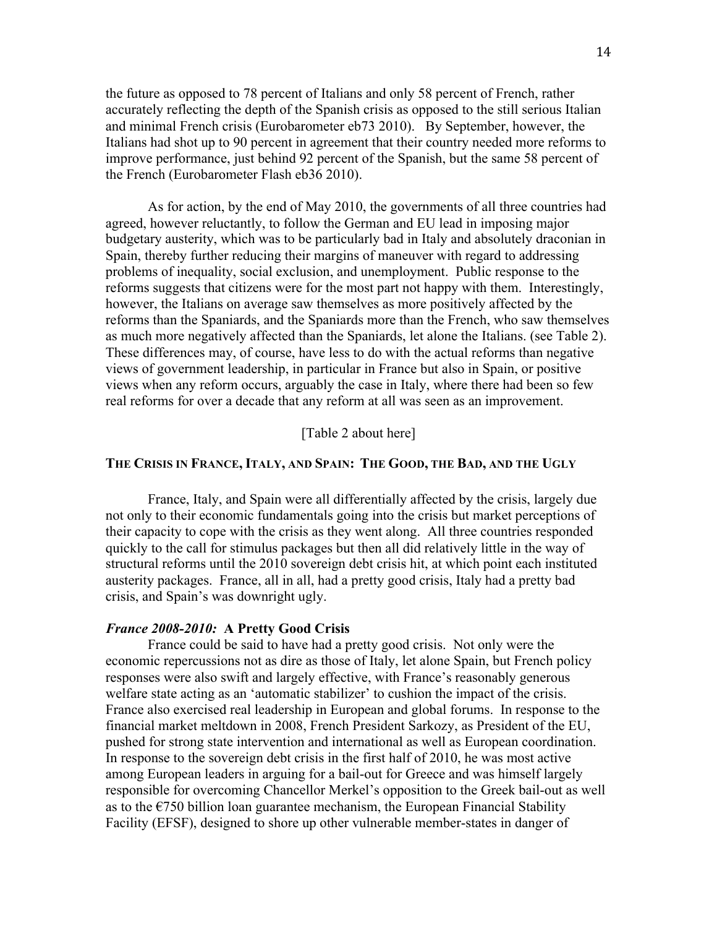the future as opposed to 78 percent of Italians and only 58 percent of French, rather accurately reflecting the depth of the Spanish crisis as opposed to the still serious Italian and minimal French crisis (Eurobarometer eb73 2010). By September, however, the Italians had shot up to 90 percent in agreement that their country needed more reforms to improve performance, just behind 92 percent of the Spanish, but the same 58 percent of the French (Eurobarometer Flash eb36 2010).

As for action, by the end of May 2010, the governments of all three countries had agreed, however reluctantly, to follow the German and EU lead in imposing major budgetary austerity, which was to be particularly bad in Italy and absolutely draconian in Spain, thereby further reducing their margins of maneuver with regard to addressing problems of inequality, social exclusion, and unemployment. Public response to the reforms suggests that citizens were for the most part not happy with them. Interestingly, however, the Italians on average saw themselves as more positively affected by the reforms than the Spaniards, and the Spaniards more than the French, who saw themselves as much more negatively affected than the Spaniards, let alone the Italians. (see Table 2). These differences may, of course, have less to do with the actual reforms than negative views of government leadership, in particular in France but also in Spain, or positive views when any reform occurs, arguably the case in Italy, where there had been so few real reforms for over a decade that any reform at all was seen as an improvement.

[Table 2 about here]

## **THE CRISIS IN FRANCE, ITALY, AND SPAIN: THE GOOD, THE BAD, AND THE UGLY**

France, Italy, and Spain were all differentially affected by the crisis, largely due not only to their economic fundamentals going into the crisis but market perceptions of their capacity to cope with the crisis as they went along. All three countries responded quickly to the call for stimulus packages but then all did relatively little in the way of structural reforms until the 2010 sovereign debt crisis hit, at which point each instituted austerity packages. France, all in all, had a pretty good crisis, Italy had a pretty bad crisis, and Spain's was downright ugly.

#### *France 2008-2010:* **A Pretty Good Crisis**

France could be said to have had a pretty good crisis. Not only were the economic repercussions not as dire as those of Italy, let alone Spain, but French policy responses were also swift and largely effective, with France's reasonably generous welfare state acting as an 'automatic stabilizer' to cushion the impact of the crisis. France also exercised real leadership in European and global forums. In response to the financial market meltdown in 2008, French President Sarkozy, as President of the EU, pushed for strong state intervention and international as well as European coordination. In response to the sovereign debt crisis in the first half of 2010, he was most active among European leaders in arguing for a bail-out for Greece and was himself largely responsible for overcoming Chancellor Merkel's opposition to the Greek bail-out as well as to the  $\epsilon$ 750 billion loan guarantee mechanism, the European Financial Stability Facility (EFSF), designed to shore up other vulnerable member-states in danger of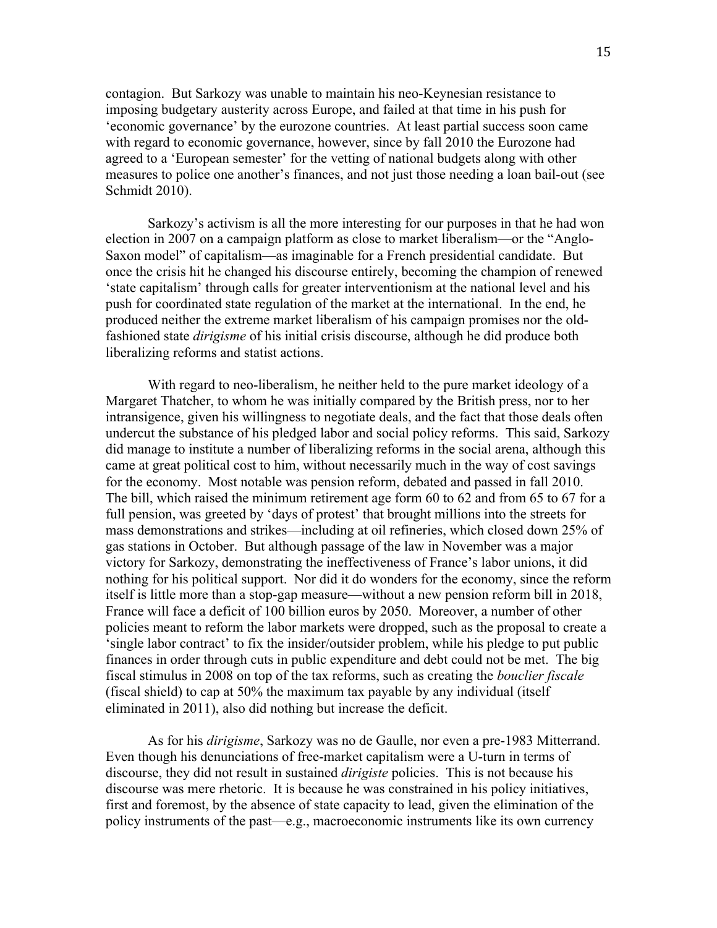contagion. But Sarkozy was unable to maintain his neo-Keynesian resistance to imposing budgetary austerity across Europe, and failed at that time in his push for 'economic governance' by the eurozone countries. At least partial success soon came with regard to economic governance, however, since by fall 2010 the Eurozone had agreed to a 'European semester' for the vetting of national budgets along with other measures to police one another's finances, and not just those needing a loan bail-out (see Schmidt 2010).

Sarkozy's activism is all the more interesting for our purposes in that he had won election in 2007 on a campaign platform as close to market liberalism—or the "Anglo-Saxon model" of capitalism—as imaginable for a French presidential candidate. But once the crisis hit he changed his discourse entirely, becoming the champion of renewed 'state capitalism' through calls for greater interventionism at the national level and his push for coordinated state regulation of the market at the international. In the end, he produced neither the extreme market liberalism of his campaign promises nor the oldfashioned state *dirigisme* of his initial crisis discourse, although he did produce both liberalizing reforms and statist actions.

With regard to neo-liberalism, he neither held to the pure market ideology of a Margaret Thatcher, to whom he was initially compared by the British press, nor to her intransigence, given his willingness to negotiate deals, and the fact that those deals often undercut the substance of his pledged labor and social policy reforms. This said, Sarkozy did manage to institute a number of liberalizing reforms in the social arena, although this came at great political cost to him, without necessarily much in the way of cost savings for the economy. Most notable was pension reform, debated and passed in fall 2010. The bill, which raised the minimum retirement age form 60 to 62 and from 65 to 67 for a full pension, was greeted by 'days of protest' that brought millions into the streets for mass demonstrations and strikes—including at oil refineries, which closed down 25% of gas stations in October. But although passage of the law in November was a major victory for Sarkozy, demonstrating the ineffectiveness of France's labor unions, it did nothing for his political support. Nor did it do wonders for the economy, since the reform itself is little more than a stop-gap measure—without a new pension reform bill in 2018, France will face a deficit of 100 billion euros by 2050. Moreover, a number of other policies meant to reform the labor markets were dropped, such as the proposal to create a 'single labor contract' to fix the insider/outsider problem, while his pledge to put public finances in order through cuts in public expenditure and debt could not be met. The big fiscal stimulus in 2008 on top of the tax reforms, such as creating the *bouclier fiscale* (fiscal shield) to cap at 50% the maximum tax payable by any individual (itself eliminated in 2011), also did nothing but increase the deficit.

As for his *dirigisme*, Sarkozy was no de Gaulle, nor even a pre-1983 Mitterrand. Even though his denunciations of free-market capitalism were a U-turn in terms of discourse, they did not result in sustained *dirigiste* policies. This is not because his discourse was mere rhetoric. It is because he was constrained in his policy initiatives, first and foremost, by the absence of state capacity to lead, given the elimination of the policy instruments of the past—e.g., macroeconomic instruments like its own currency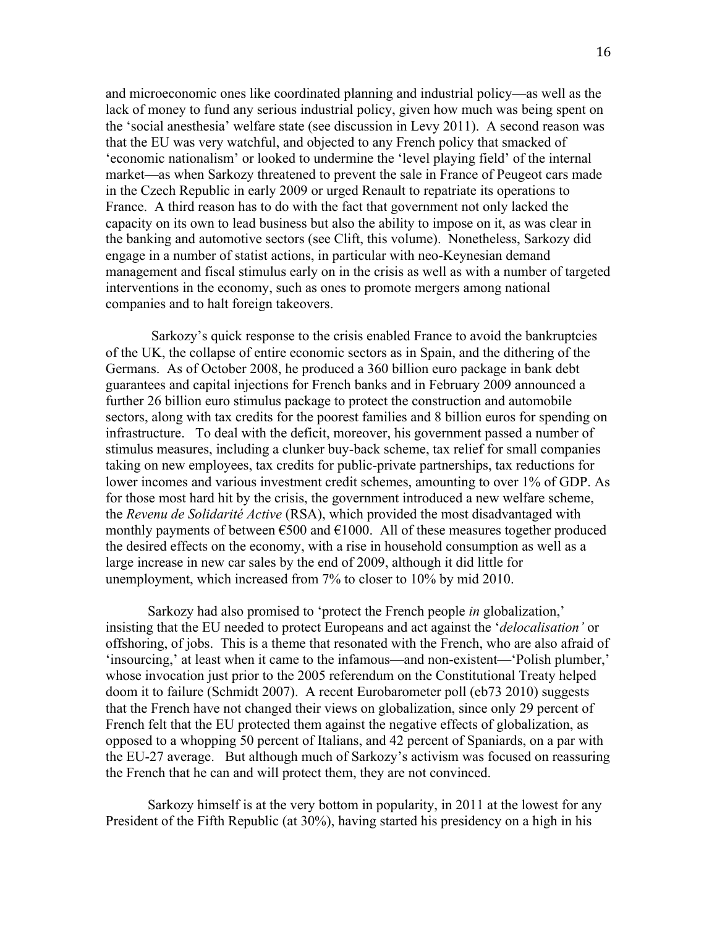and microeconomic ones like coordinated planning and industrial policy—as well as the lack of money to fund any serious industrial policy, given how much was being spent on the 'social anesthesia' welfare state (see discussion in Levy 2011). A second reason was that the EU was very watchful, and objected to any French policy that smacked of 'economic nationalism' or looked to undermine the 'level playing field' of the internal market—as when Sarkozy threatened to prevent the sale in France of Peugeot cars made in the Czech Republic in early 2009 or urged Renault to repatriate its operations to France. A third reason has to do with the fact that government not only lacked the capacity on its own to lead business but also the ability to impose on it, as was clear in the banking and automotive sectors (see Clift, this volume). Nonetheless, Sarkozy did engage in a number of statist actions, in particular with neo-Keynesian demand management and fiscal stimulus early on in the crisis as well as with a number of targeted interventions in the economy, such as ones to promote mergers among national companies and to halt foreign takeovers.

Sarkozy's quick response to the crisis enabled France to avoid the bankruptcies of the UK, the collapse of entire economic sectors as in Spain, and the dithering of the Germans. As of October 2008, he produced a 360 billion euro package in bank debt guarantees and capital injections for French banks and in February 2009 announced a further 26 billion euro stimulus package to protect the construction and automobile sectors, along with tax credits for the poorest families and 8 billion euros for spending on infrastructure. To deal with the deficit, moreover, his government passed a number of stimulus measures, including a clunker buy-back scheme, tax relief for small companies taking on new employees, tax credits for public-private partnerships, tax reductions for lower incomes and various investment credit schemes, amounting to over 1% of GDP. As for those most hard hit by the crisis, the government introduced a new welfare scheme, the *Revenu de Solidarité Active* (RSA), which provided the most disadvantaged with monthly payments of between  $\epsilon$ 500 and  $\epsilon$ 1000. All of these measures together produced the desired effects on the economy, with a rise in household consumption as well as a large increase in new car sales by the end of 2009, although it did little for unemployment, which increased from 7% to closer to 10% by mid 2010.

Sarkozy had also promised to 'protect the French people *in* globalization,' insisting that the EU needed to protect Europeans and act against the '*delocalisation'* or offshoring, of jobs. This is a theme that resonated with the French, who are also afraid of 'insourcing,' at least when it came to the infamous—and non-existent—'Polish plumber,' whose invocation just prior to the 2005 referendum on the Constitutional Treaty helped doom it to failure (Schmidt 2007). A recent Eurobarometer poll (eb73 2010) suggests that the French have not changed their views on globalization, since only 29 percent of French felt that the EU protected them against the negative effects of globalization, as opposed to a whopping 50 percent of Italians, and 42 percent of Spaniards, on a par with the EU-27 average. But although much of Sarkozy's activism was focused on reassuring the French that he can and will protect them, they are not convinced.

Sarkozy himself is at the very bottom in popularity, in 2011 at the lowest for any President of the Fifth Republic (at 30%), having started his presidency on a high in his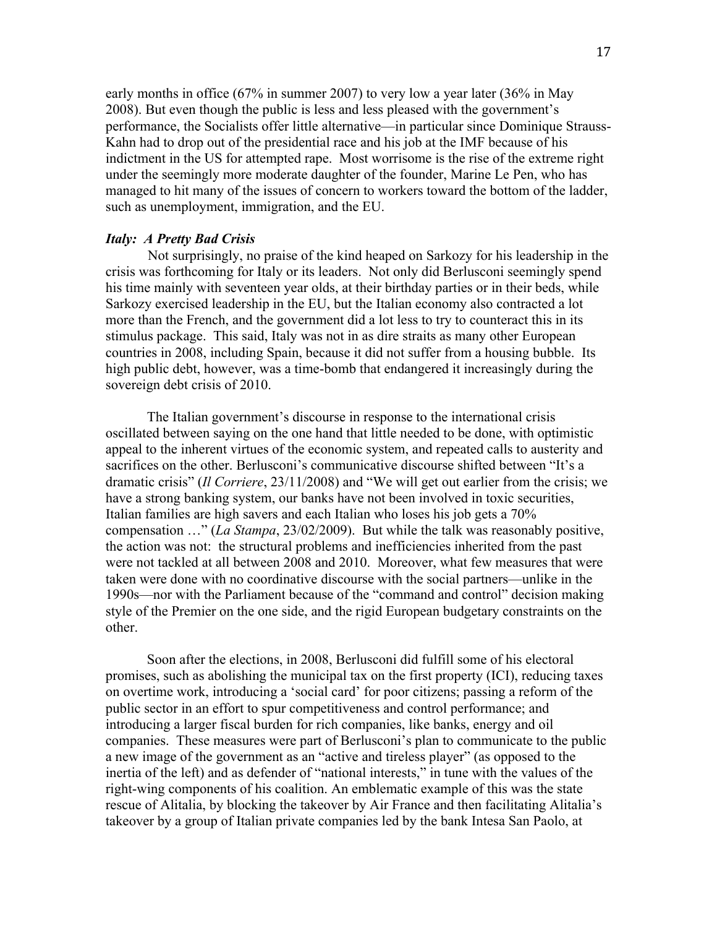early months in office (67% in summer 2007) to very low a year later (36% in May 2008). But even though the public is less and less pleased with the government's performance, the Socialists offer little alternative—in particular since Dominique Strauss-Kahn had to drop out of the presidential race and his job at the IMF because of his indictment in the US for attempted rape. Most worrisome is the rise of the extreme right under the seemingly more moderate daughter of the founder, Marine Le Pen, who has managed to hit many of the issues of concern to workers toward the bottom of the ladder, such as unemployment, immigration, and the EU.

## *Italy: A Pretty Bad Crisis*

Not surprisingly, no praise of the kind heaped on Sarkozy for his leadership in the crisis was forthcoming for Italy or its leaders. Not only did Berlusconi seemingly spend his time mainly with seventeen year olds, at their birthday parties or in their beds, while Sarkozy exercised leadership in the EU, but the Italian economy also contracted a lot more than the French, and the government did a lot less to try to counteract this in its stimulus package. This said, Italy was not in as dire straits as many other European countries in 2008, including Spain, because it did not suffer from a housing bubble. Its high public debt, however, was a time-bomb that endangered it increasingly during the sovereign debt crisis of 2010.

The Italian government's discourse in response to the international crisis oscillated between saying on the one hand that little needed to be done, with optimistic appeal to the inherent virtues of the economic system, and repeated calls to austerity and sacrifices on the other. Berlusconi's communicative discourse shifted between "It's a dramatic crisis" (*Il Corriere*, 23/11/2008) and "We will get out earlier from the crisis; we have a strong banking system, our banks have not been involved in toxic securities, Italian families are high savers and each Italian who loses his job gets a 70% compensation …" (*La Stampa*, 23/02/2009). But while the talk was reasonably positive, the action was not: the structural problems and inefficiencies inherited from the past were not tackled at all between 2008 and 2010. Moreover, what few measures that were taken were done with no coordinative discourse with the social partners—unlike in the 1990s—nor with the Parliament because of the "command and control" decision making style of the Premier on the one side, and the rigid European budgetary constraints on the other.

Soon after the elections, in 2008, Berlusconi did fulfill some of his electoral promises, such as abolishing the municipal tax on the first property (ICI), reducing taxes on overtime work, introducing a 'social card' for poor citizens; passing a reform of the public sector in an effort to spur competitiveness and control performance; and introducing a larger fiscal burden for rich companies, like banks, energy and oil companies. These measures were part of Berlusconi's plan to communicate to the public a new image of the government as an "active and tireless player" (as opposed to the inertia of the left) and as defender of "national interests," in tune with the values of the right-wing components of his coalition. An emblematic example of this was the state rescue of Alitalia, by blocking the takeover by Air France and then facilitating Alitalia's takeover by a group of Italian private companies led by the bank Intesa San Paolo, at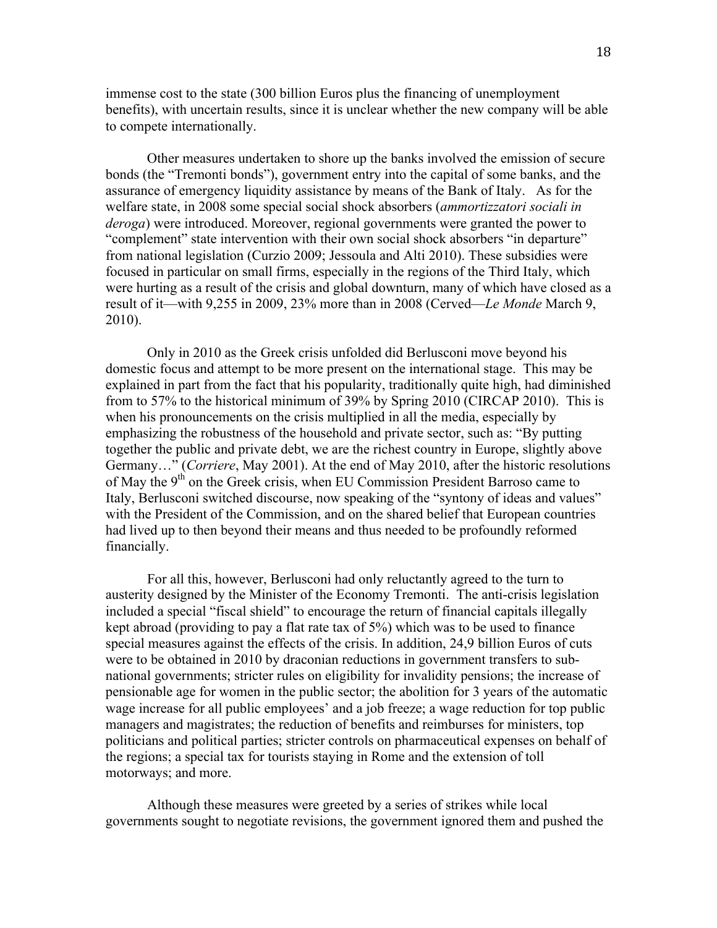immense cost to the state (300 billion Euros plus the financing of unemployment benefits), with uncertain results, since it is unclear whether the new company will be able to compete internationally.

Other measures undertaken to shore up the banks involved the emission of secure bonds (the "Tremonti bonds"), government entry into the capital of some banks, and the assurance of emergency liquidity assistance by means of the Bank of Italy. As for the welfare state, in 2008 some special social shock absorbers (*ammortizzatori sociali in deroga*) were introduced. Moreover, regional governments were granted the power to "complement" state intervention with their own social shock absorbers "in departure" from national legislation (Curzio 2009; Jessoula and Alti 2010). These subsidies were focused in particular on small firms, especially in the regions of the Third Italy, which were hurting as a result of the crisis and global downturn, many of which have closed as a result of it—with 9,255 in 2009, 23% more than in 2008 (Cerved—*Le Monde* March 9, 2010).

Only in 2010 as the Greek crisis unfolded did Berlusconi move beyond his domestic focus and attempt to be more present on the international stage. This may be explained in part from the fact that his popularity, traditionally quite high, had diminished from to 57% to the historical minimum of 39% by Spring 2010 (CIRCAP 2010). This is when his pronouncements on the crisis multiplied in all the media, especially by emphasizing the robustness of the household and private sector, such as: "By putting together the public and private debt, we are the richest country in Europe, slightly above Germany…" (*Corriere*, May 2001). At the end of May 2010, after the historic resolutions of May the 9<sup>th</sup> on the Greek crisis, when EU Commission President Barroso came to Italy, Berlusconi switched discourse, now speaking of the "syntony of ideas and values" with the President of the Commission, and on the shared belief that European countries had lived up to then beyond their means and thus needed to be profoundly reformed financially.

For all this, however, Berlusconi had only reluctantly agreed to the turn to austerity designed by the Minister of the Economy Tremonti. The anti-crisis legislation included a special "fiscal shield" to encourage the return of financial capitals illegally kept abroad (providing to pay a flat rate tax of 5%) which was to be used to finance special measures against the effects of the crisis. In addition, 24,9 billion Euros of cuts were to be obtained in 2010 by draconian reductions in government transfers to subnational governments; stricter rules on eligibility for invalidity pensions; the increase of pensionable age for women in the public sector; the abolition for 3 years of the automatic wage increase for all public employees' and a job freeze; a wage reduction for top public managers and magistrates; the reduction of benefits and reimburses for ministers, top politicians and political parties; stricter controls on pharmaceutical expenses on behalf of the regions; a special tax for tourists staying in Rome and the extension of toll motorways; and more.

Although these measures were greeted by a series of strikes while local governments sought to negotiate revisions, the government ignored them and pushed the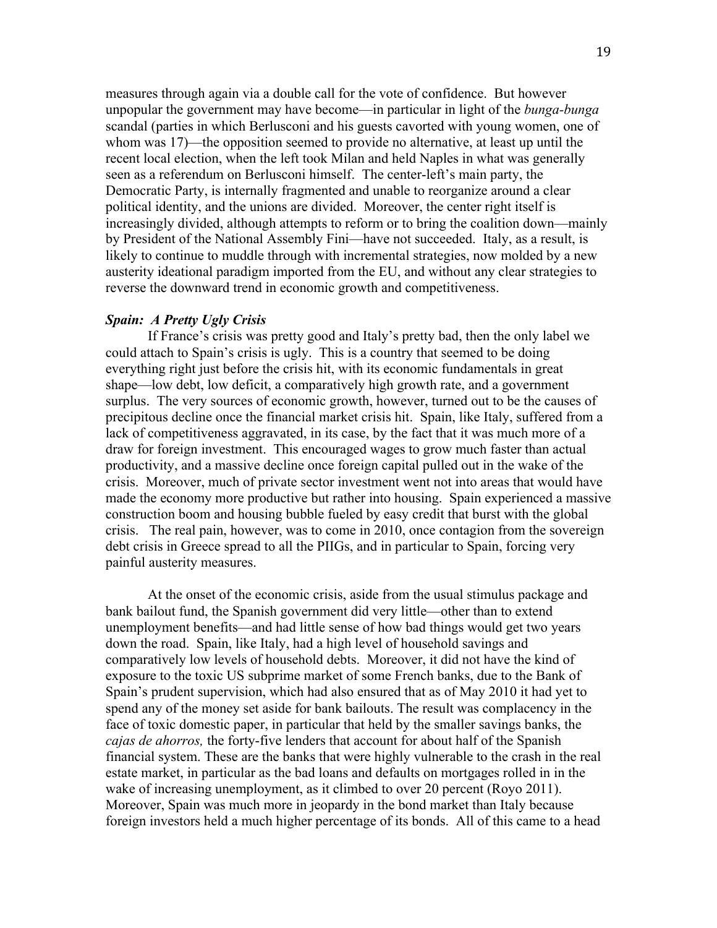measures through again via a double call for the vote of confidence. But however unpopular the government may have become—in particular in light of the *bunga-bunga* scandal (parties in which Berlusconi and his guests cavorted with young women, one of whom was 17)—the opposition seemed to provide no alternative, at least up until the recent local election, when the left took Milan and held Naples in what was generally seen as a referendum on Berlusconi himself. The center-left's main party, the Democratic Party, is internally fragmented and unable to reorganize around a clear political identity, and the unions are divided. Moreover, the center right itself is increasingly divided, although attempts to reform or to bring the coalition down—mainly by President of the National Assembly Fini—have not succeeded. Italy, as a result, is likely to continue to muddle through with incremental strategies, now molded by a new austerity ideational paradigm imported from the EU, and without any clear strategies to reverse the downward trend in economic growth and competitiveness.

## *Spain: A Pretty Ugly Crisis*

If France's crisis was pretty good and Italy's pretty bad, then the only label we could attach to Spain's crisis is ugly. This is a country that seemed to be doing everything right just before the crisis hit, with its economic fundamentals in great shape—low debt, low deficit, a comparatively high growth rate, and a government surplus. The very sources of economic growth, however, turned out to be the causes of precipitous decline once the financial market crisis hit. Spain, like Italy, suffered from a lack of competitiveness aggravated, in its case, by the fact that it was much more of a draw for foreign investment. This encouraged wages to grow much faster than actual productivity, and a massive decline once foreign capital pulled out in the wake of the crisis. Moreover, much of private sector investment went not into areas that would have made the economy more productive but rather into housing. Spain experienced a massive construction boom and housing bubble fueled by easy credit that burst with the global crisis. The real pain, however, was to come in 2010, once contagion from the sovereign debt crisis in Greece spread to all the PIIGs, and in particular to Spain, forcing very painful austerity measures.

At the onset of the economic crisis, aside from the usual stimulus package and bank bailout fund, the Spanish government did very little—other than to extend unemployment benefits—and had little sense of how bad things would get two years down the road. Spain, like Italy, had a high level of household savings and comparatively low levels of household debts. Moreover, it did not have the kind of exposure to the toxic US subprime market of some French banks, due to the Bank of Spain's prudent supervision, which had also ensured that as of May 2010 it had yet to spend any of the money set aside for bank bailouts. The result was complacency in the face of toxic domestic paper, in particular that held by the smaller savings banks, the *cajas de ahorros,* the forty-five lenders that account for about half of the Spanish financial system. These are the banks that were highly vulnerable to the crash in the real estate market, in particular as the bad loans and defaults on mortgages rolled in in the wake of increasing unemployment, as it climbed to over 20 percent (Royo 2011). Moreover, Spain was much more in jeopardy in the bond market than Italy because foreign investors held a much higher percentage of its bonds. All of this came to a head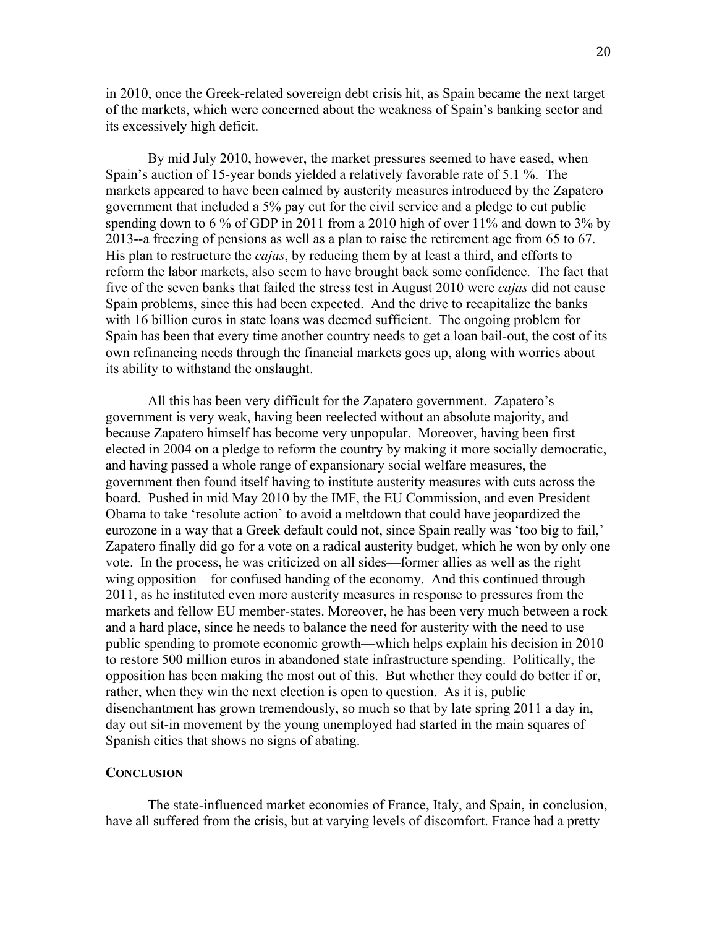in 2010, once the Greek-related sovereign debt crisis hit, as Spain became the next target of the markets, which were concerned about the weakness of Spain's banking sector and its excessively high deficit.

By mid July 2010, however, the market pressures seemed to have eased, when Spain's auction of 15-year bonds yielded a relatively favorable rate of 5.1 %. The markets appeared to have been calmed by austerity measures introduced by the Zapatero government that included a 5% pay cut for the civil service and a pledge to cut public spending down to 6 % of GDP in 2011 from a 2010 high of over 11% and down to 3% by 2013--a freezing of pensions as well as a plan to raise the retirement age from 65 to 67. His plan to restructure the *cajas*, by reducing them by at least a third, and efforts to reform the labor markets, also seem to have brought back some confidence. The fact that five of the seven banks that failed the stress test in August 2010 were *cajas* did not cause Spain problems, since this had been expected. And the drive to recapitalize the banks with 16 billion euros in state loans was deemed sufficient. The ongoing problem for Spain has been that every time another country needs to get a loan bail-out, the cost of its own refinancing needs through the financial markets goes up, along with worries about its ability to withstand the onslaught.

All this has been very difficult for the Zapatero government. Zapatero's government is very weak, having been reelected without an absolute majority, and because Zapatero himself has become very unpopular. Moreover, having been first elected in 2004 on a pledge to reform the country by making it more socially democratic, and having passed a whole range of expansionary social welfare measures, the government then found itself having to institute austerity measures with cuts across the board. Pushed in mid May 2010 by the IMF, the EU Commission, and even President Obama to take 'resolute action' to avoid a meltdown that could have jeopardized the eurozone in a way that a Greek default could not, since Spain really was 'too big to fail,' Zapatero finally did go for a vote on a radical austerity budget, which he won by only one vote. In the process, he was criticized on all sides—former allies as well as the right wing opposition—for confused handing of the economy. And this continued through 2011, as he instituted even more austerity measures in response to pressures from the markets and fellow EU member-states. Moreover, he has been very much between a rock and a hard place, since he needs to balance the need for austerity with the need to use public spending to promote economic growth—which helps explain his decision in 2010 to restore 500 million euros in abandoned state infrastructure spending. Politically, the opposition has been making the most out of this. But whether they could do better if or, rather, when they win the next election is open to question. As it is, public disenchantment has grown tremendously, so much so that by late spring 2011 a day in, day out sit-in movement by the young unemployed had started in the main squares of Spanish cities that shows no signs of abating.

#### **CONCLUSION**

The state-influenced market economies of France, Italy, and Spain, in conclusion, have all suffered from the crisis, but at varying levels of discomfort. France had a pretty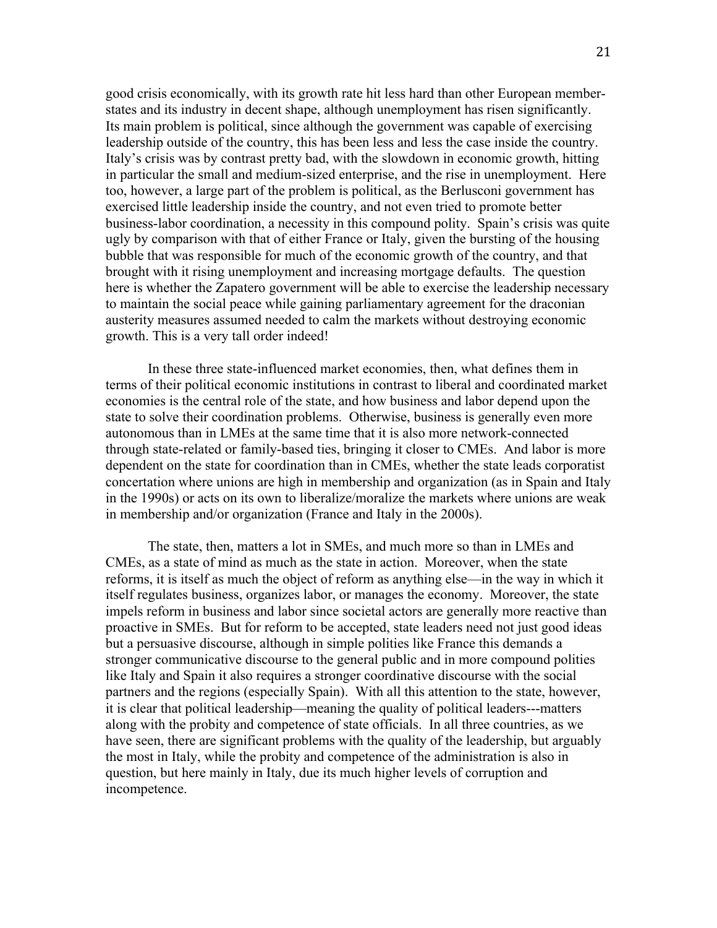good crisis economically, with its growth rate hit less hard than other European memberstates and its industry in decent shape, although unemployment has risen significantly. Its main problem is political, since although the government was capable of exercising leadership outside of the country, this has been less and less the case inside the country. Italy's crisis was by contrast pretty bad, with the slowdown in economic growth, hitting in particular the small and medium-sized enterprise, and the rise in unemployment. Here too, however, a large part of the problem is political, as the Berlusconi government has exercised little leadership inside the country, and not even tried to promote better business-labor coordination, a necessity in this compound polity. Spain's crisis was quite ugly by comparison with that of either France or Italy, given the bursting of the housing bubble that was responsible for much of the economic growth of the country, and that brought with it rising unemployment and increasing mortgage defaults. The question here is whether the Zapatero government will be able to exercise the leadership necessary to maintain the social peace while gaining parliamentary agreement for the draconian austerity measures assumed needed to calm the markets without destroying economic growth. This is a very tall order indeed!

In these three state-influenced market economies, then, what defines them in terms of their political economic institutions in contrast to liberal and coordinated market economies is the central role of the state, and how business and labor depend upon the state to solve their coordination problems. Otherwise, business is generally even more autonomous than in LMEs at the same time that it is also more network-connected through state-related or family-based ties, bringing it closer to CMEs. And labor is more dependent on the state for coordination than in CMEs, whether the state leads corporatist concertation where unions are high in membership and organization (as in Spain and Italy in the 1990s) or acts on its own to liberalize/moralize the markets where unions are weak in membership and/or organization (France and Italy in the 2000s).

The state, then, matters a lot in SMEs, and much more so than in LMEs and CMEs, as a state of mind as much as the state in action. Moreover, when the state reforms, it is itself as much the object of reform as anything else—in the way in which it itself regulates business, organizes labor, or manages the economy. Moreover, the state impels reform in business and labor since societal actors are generally more reactive than proactive in SMEs. But for reform to be accepted, state leaders need not just good ideas but a persuasive discourse, although in simple polities like France this demands a stronger communicative discourse to the general public and in more compound polities like Italy and Spain it also requires a stronger coordinative discourse with the social partners and the regions (especially Spain). With all this attention to the state, however, it is clear that political leadership—meaning the quality of political leaders---matters along with the probity and competence of state officials. In all three countries, as we have seen, there are significant problems with the quality of the leadership, but arguably the most in Italy, while the probity and competence of the administration is also in question, but here mainly in Italy, due its much higher levels of corruption and incompetence.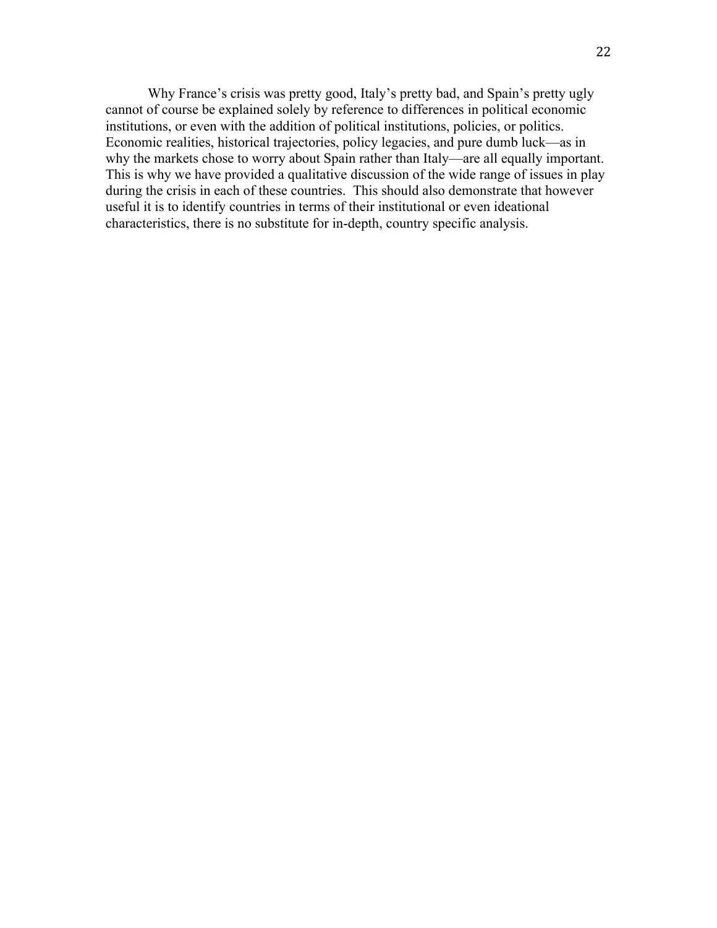Why France's crisis was pretty good, Italy's pretty bad, and Spain's pretty ugly cannot of course be explained solely by reference to differences in political economic institutions, or even with the addition of political institutions, policies, or politics. Economic realities, historical trajectories, policy legacies, and pure dumb luck—as in why the markets chose to worry about Spain rather than Italy—are all equally important. This is why we have provided a qualitative discussion of the wide range of issues in play during the crisis in each of these countries. This should also demonstrate that however useful it is to identify countries in terms of their institutional or even ideational characteristics, there is no substitute for in-depth, country specific analysis.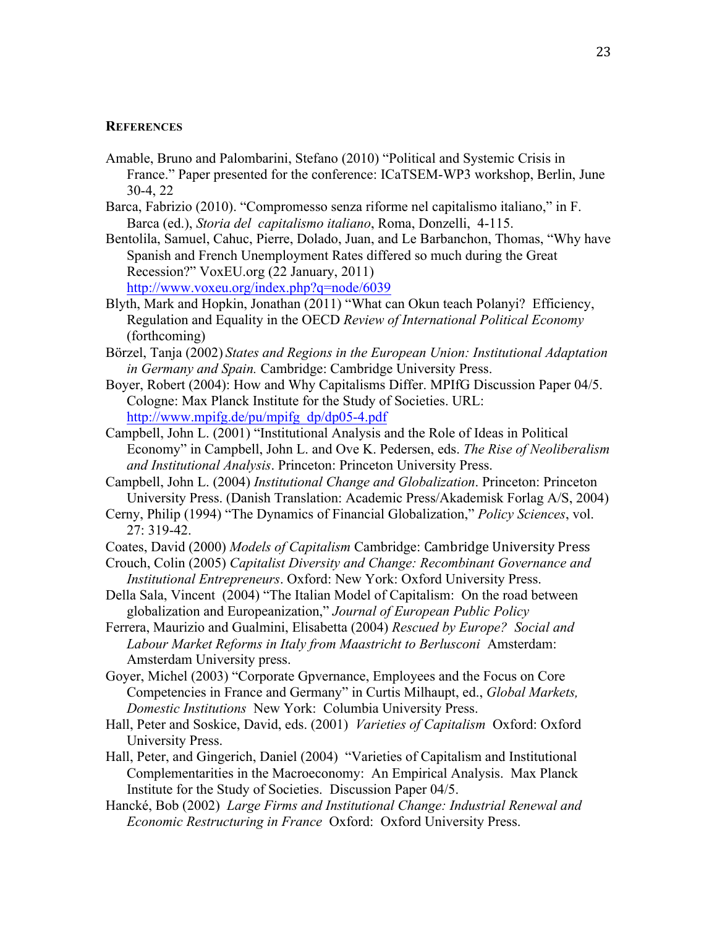#### **REFERENCES**

- Amable, Bruno and Palombarini, Stefano (2010) "Political and Systemic Crisis in France." Paper presented for the conference: ICaTSEM-WP3 workshop, Berlin, June 30-4, 22
- Barca, Fabrizio (2010). "Compromesso senza riforme nel capitalismo italiano," in F. Barca (ed.), *Storia del capitalismo italiano*, Roma, Donzelli, 4-115.
- Bentolila, Samuel, Cahuc, Pierre, Dolado, Juan, and Le Barbanchon, Thomas, "Why have Spanish and French Unemployment Rates differed so much during the Great Recession?" VoxEU.org (22 January, 2011) http://www.voxeu.org/index.php?q=node/6039
- Blyth, Mark and Hopkin, Jonathan (2011) "What can Okun teach Polanyi? Efficiency, Regulation and Equality in the OECD *Review of International Political Economy* (forthcoming)
- Börzel, Tanja (2002) *States and Regions in the European Union: Institutional Adaptation in Germany and Spain.* Cambridge: Cambridge University Press.
- Boyer, Robert (2004): How and Why Capitalisms Differ. MPIfG Discussion Paper 04/5. Cologne: Max Planck Institute for the Study of Societies. URL: http://www.mpifg.de/pu/mpifg\_dp/dp05-4.pdf
- Campbell, John L. (2001) "Institutional Analysis and the Role of Ideas in Political Economy" in Campbell, John L. and Ove K. Pedersen, eds. *The Rise of Neoliberalism and Institutional Analysis*. Princeton: Princeton University Press.
- Campbell, John L. (2004) *Institutional Change and Globalization*. Princeton: Princeton University Press. (Danish Translation: Academic Press/Akademisk Forlag A/S, 2004)
- Cerny, Philip (1994) "The Dynamics of Financial Globalization," *Policy Sciences*, vol. 27: 319-42.
- Coates, David (2000) *Models of Capitalism* Cambridge: Cambridge University Press
- Crouch, Colin (2005) *Capitalist Diversity and Change: Recombinant Governance and Institutional Entrepreneurs*. Oxford: New York: Oxford University Press.
- Della Sala, Vincent (2004) "The Italian Model of Capitalism: On the road between globalization and Europeanization," *Journal of European Public Policy*
- Ferrera, Maurizio and Gualmini, Elisabetta (2004) *Rescued by Europe? Social and Labour Market Reforms in Italy from Maastricht to Berlusconi* Amsterdam: Amsterdam University press.
- Goyer, Michel (2003) "Corporate Gpvernance, Employees and the Focus on Core Competencies in France and Germany" in Curtis Milhaupt, ed., *Global Markets, Domestic Institutions* New York: Columbia University Press.
- Hall, Peter and Soskice, David, eds. (2001) *Varieties of Capitalism* Oxford: Oxford University Press.
- Hall, Peter, and Gingerich, Daniel (2004) "Varieties of Capitalism and Institutional Complementarities in the Macroeconomy: An Empirical Analysis. Max Planck Institute for the Study of Societies. Discussion Paper 04/5.
- Hancké, Bob (2002) *Large Firms and Institutional Change: Industrial Renewal and Economic Restructuring in France* Oxford: Oxford University Press.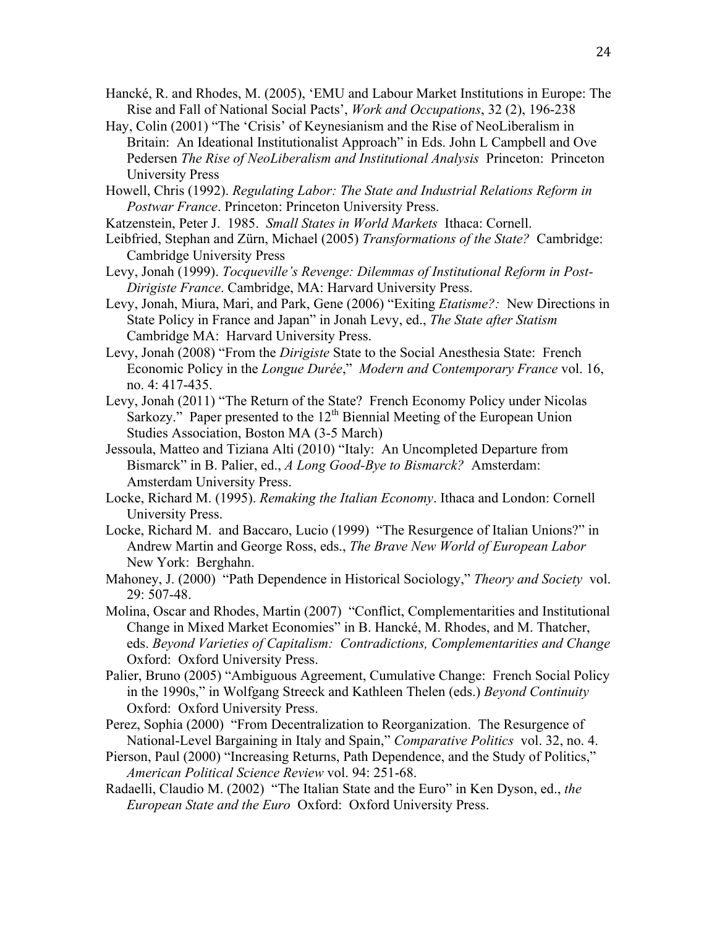- Hancké, R. and Rhodes, M. (2005), 'EMU and Labour Market Institutions in Europe: The Rise and Fall of National Social Pacts', *Work and Occupations*, 32 (2), 196-238
- Hay, Colin (2001) "The 'Crisis' of Keynesianism and the Rise of NeoLiberalism in Britain: An Ideational Institutionalist Approach" in Eds. John L Campbell and Ove Pedersen *The Rise of NeoLiberalism and Institutional Analysis* Princeton: Princeton University Press
- Howell, Chris (1992). *Regulating Labor: The State and Industrial Relations Reform in Postwar France*. Princeton: Princeton University Press.
- Katzenstein, Peter J. 1985. *Small States in World Markets* Ithaca: Cornell.
- Leibfried, Stephan and Zürn, Michael (2005) *Transformations of the State?* Cambridge: Cambridge University Press
- Levy, Jonah (1999). *Tocqueville's Revenge: Dilemmas of Institutional Reform in Post-Dirigiste France*. Cambridge, MA: Harvard University Press.
- Levy, Jonah, Miura, Mari, and Park, Gene (2006) "Exiting *Etatisme?:* New Directions in State Policy in France and Japan" in Jonah Levy, ed., *The State after Statism* Cambridge MA: Harvard University Press.
- Levy, Jonah (2008) "From the *Dirigiste* State to the Social Anesthesia State: French Economic Policy in the *Longue Durée*," *Modern and Contemporary France* vol. 16, no. 4: 417-435.
- Levy, Jonah (2011) "The Return of the State? French Economy Policy under Nicolas Sarkozy." Paper presented to the  $12<sup>th</sup>$  Biennial Meeting of the European Union Studies Association, Boston MA (3-5 March)
- Jessoula, Matteo and Tiziana Alti (2010) "Italy: An Uncompleted Departure from Bismarck" in B. Palier, ed., *A Long Good-Bye to Bismarck?* Amsterdam: Amsterdam University Press.
- Locke, Richard M. (1995). *Remaking the Italian Economy*. Ithaca and London: Cornell University Press.
- Locke, Richard M. and Baccaro, Lucio (1999) "The Resurgence of Italian Unions?" in Andrew Martin and George Ross, eds., *The Brave New World of European Labor* New York: Berghahn.
- Mahoney, J. (2000) "Path Dependence in Historical Sociology," *Theory and Society* vol. 29: 507-48.
- Molina, Oscar and Rhodes, Martin (2007) "Conflict, Complementarities and Institutional Change in Mixed Market Economies" in B. Hancké, M. Rhodes, and M. Thatcher, eds. *Beyond Varieties of Capitalism: Contradictions, Complementarities and Change* Oxford: Oxford University Press.
- Palier, Bruno (2005) "Ambiguous Agreement, Cumulative Change: French Social Policy in the 1990s," in Wolfgang Streeck and Kathleen Thelen (eds.) *Beyond Continuity* Oxford: Oxford University Press.
- Perez, Sophia (2000) "From Decentralization to Reorganization. The Resurgence of National-Level Bargaining in Italy and Spain," *Comparative Politics* vol. 32, no. 4.
- Pierson, Paul (2000) "Increasing Returns, Path Dependence, and the Study of Politics," *American Political Science Review* vol. 94: 251-68.
- Radaelli, Claudio M. (2002) "The Italian State and the Euro" in Ken Dyson, ed., *the European State and the Euro* Oxford: Oxford University Press.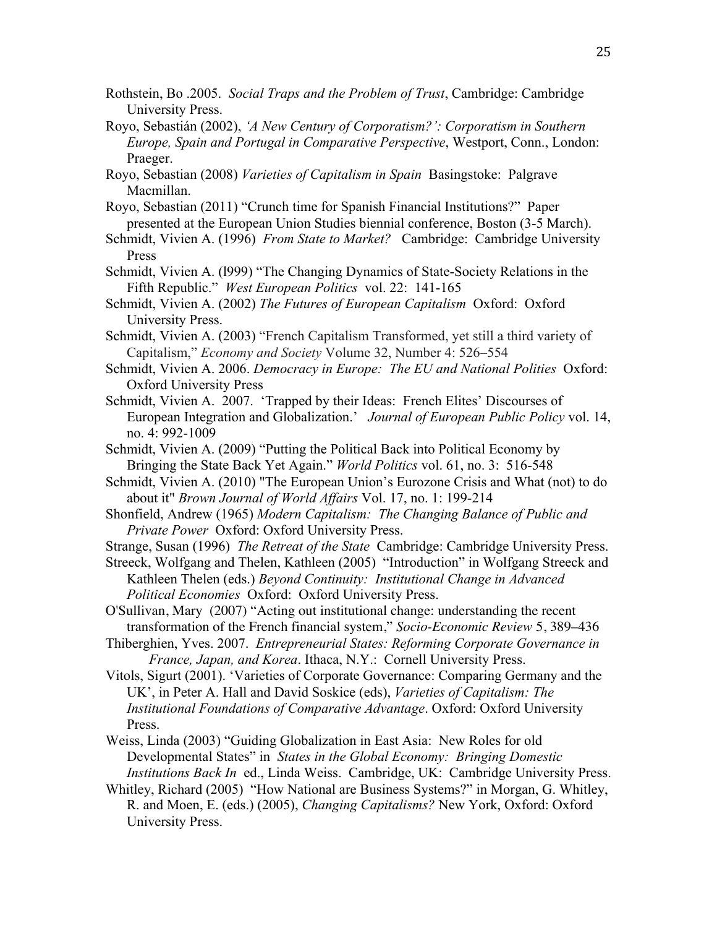- Rothstein, Bo .2005. *Social Traps and the Problem of Trust*, Cambridge: Cambridge University Press.
- Royo, Sebastián (2002), *'A New Century of Corporatism?': Corporatism in Southern Europe, Spain and Portugal in Comparative Perspective*, Westport, Conn., London: Praeger.
- Royo, Sebastian (2008) *Varieties of Capitalism in Spain* Basingstoke: Palgrave Macmillan.
- Royo, Sebastian (2011) "Crunch time for Spanish Financial Institutions?" Paper presented at the European Union Studies biennial conference, Boston (3-5 March).
- Schmidt, Vivien A. (1996) *From State to Market?* Cambridge: Cambridge University Press
- Schmidt, Vivien A. (l999) "The Changing Dynamics of State-Society Relations in the Fifth Republic." *West European Politics* vol. 22: 141-165
- Schmidt, Vivien A. (2002) *The Futures of European Capitalism* Oxford: Oxford University Press.
- Schmidt, Vivien A. (2003) "French Capitalism Transformed, yet still a third variety of Capitalism," *Economy and Society* Volume 32, Number 4: 526–554
- Schmidt, Vivien A. 2006. *Democracy in Europe: The EU and National Polities* Oxford: Oxford University Press
- Schmidt, Vivien A. 2007. 'Trapped by their Ideas: French Elites' Discourses of European Integration and Globalization.' *Journal of European Public Policy* vol. 14, no. 4: 992-1009
- Schmidt, Vivien A. (2009) "Putting the Political Back into Political Economy by Bringing the State Back Yet Again." *World Politics* vol. 61, no. 3: 516-548
- Schmidt, Vivien A. (2010) "The European Union's Eurozone Crisis and What (not) to do about it" *Brown Journal of World Affairs* Vol. 17, no. 1: 199-214
- Shonfield, Andrew (1965) *Modern Capitalism: The Changing Balance of Public and Private Power* Oxford: Oxford University Press.
- Strange, Susan (1996) *The Retreat of the State* Cambridge: Cambridge University Press.
- Streeck, Wolfgang and Thelen, Kathleen (2005) "Introduction" in Wolfgang Streeck and Kathleen Thelen (eds.) *Beyond Continuity: Institutional Change in Advanced Political Economies* Oxford: Oxford University Press.
- O'Sullivan, Mary (2007) "Acting out institutional change: understanding the recent transformation of the French financial system," *Socio-Economic Review* 5, 389–436
- Thiberghien, Yves. 2007. *Entrepreneurial States: Reforming Corporate Governance in France, Japan, and Korea*. Ithaca, N.Y.: Cornell University Press.
- Vitols, Sigurt (2001). 'Varieties of Corporate Governance: Comparing Germany and the UK', in Peter A. Hall and David Soskice (eds), *Varieties of Capitalism: The Institutional Foundations of Comparative Advantage*. Oxford: Oxford University Press.
- Weiss, Linda (2003) "Guiding Globalization in East Asia: New Roles for old Developmental States" in *States in the Global Economy: Bringing Domestic Institutions Back In* ed., Linda Weiss. Cambridge, UK: Cambridge University Press.
- Whitley, Richard (2005) "How National are Business Systems?" in Morgan, G. Whitley, R. and Moen, E. (eds.) (2005), *Changing Capitalisms?* New York, Oxford: Oxford University Press.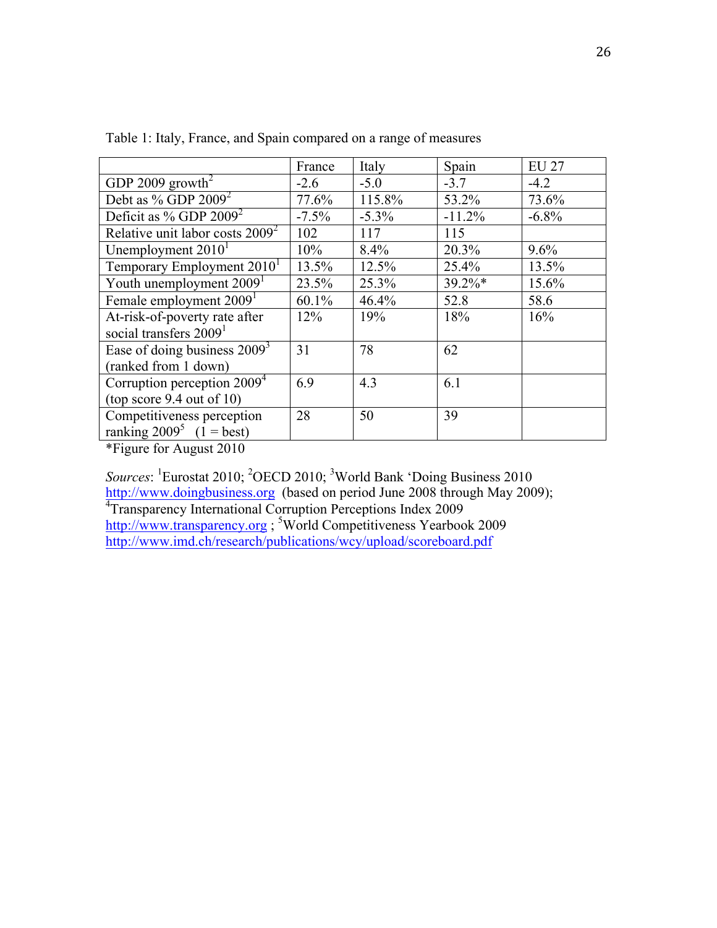|                                        | France   | Italy    | Spain    | <b>EU 27</b> |
|----------------------------------------|----------|----------|----------|--------------|
| GDP 2009 growth <sup>2</sup>           | $-2.6$   | $-5.0$   | $-3.7$   | $-4.2$       |
| Debt as % GDP $2009^2$                 | 77.6%    | 115.8%   | 53.2%    | 73.6%        |
| Deficit as % GDP $2009^2$              | $-7.5\%$ | $-5.3\%$ | $-11.2%$ | $-6.8\%$     |
| Relative unit labor costs $2009^2$     | 102      | 117      | 115      |              |
| Unemployment $20101$                   | 10%      | 8.4%     | 20.3%    | 9.6%         |
| Temporary Employment 2010 <sup>1</sup> | 13.5%    | 12.5%    | 25.4%    | 13.5%        |
| Youth unemployment $20091$             | 23.5%    | 25.3%    | 39.2%*   | 15.6%        |
| Female employment 2009 <sup>1</sup>    | 60.1%    | 46.4%    | 52.8     | 58.6         |
| At-risk-of-poverty rate after          | 12%      | 19%      | 18%      | 16%          |
| social transfers 2009 <sup>1</sup>     |          |          |          |              |
| Ease of doing business $20093$         | 31       | 78       | 62       |              |
| (ranked from 1 down)                   |          |          |          |              |
| Corruption perception $20094$          | 6.9      | 4.3      | 6.1      |              |
| (top score $9.4$ out of 10)            |          |          |          |              |
| Competitiveness perception             | 28       | 50       | 39       |              |
| ranking $2009^5$ (1 = best)            |          |          |          |              |

Table 1: Italy, France, and Spain compared on a range of measures

\*Figure for August 2010

Sources: <sup>1</sup>Eurostat 2010; <sup>2</sup>OECD 2010; <sup>3</sup>World Bank 'Doing Business 2010 http://www.doingbusiness.org (based on period June 2008 through May 2009);<br><sup>4</sup>Transparency International Corruption Perceptions Index 2009 http://www.transparency.org ; <sup>5</sup>World Competitiveness Yearbook 2009 http://www.imd.ch/research/publications/wcy/upload/scoreboard.pdf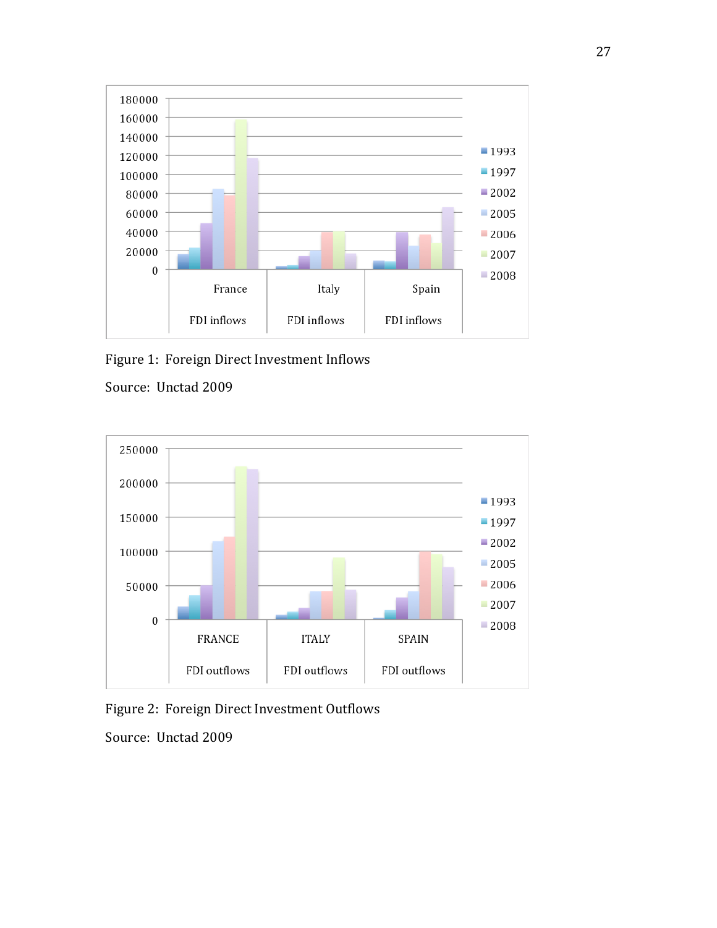

Figure 1: Foreign Direct Investment Inflows

Source: Unctad 2009



Figure 2: Foreign Direct Investment Outflows

Source: Unctad 2009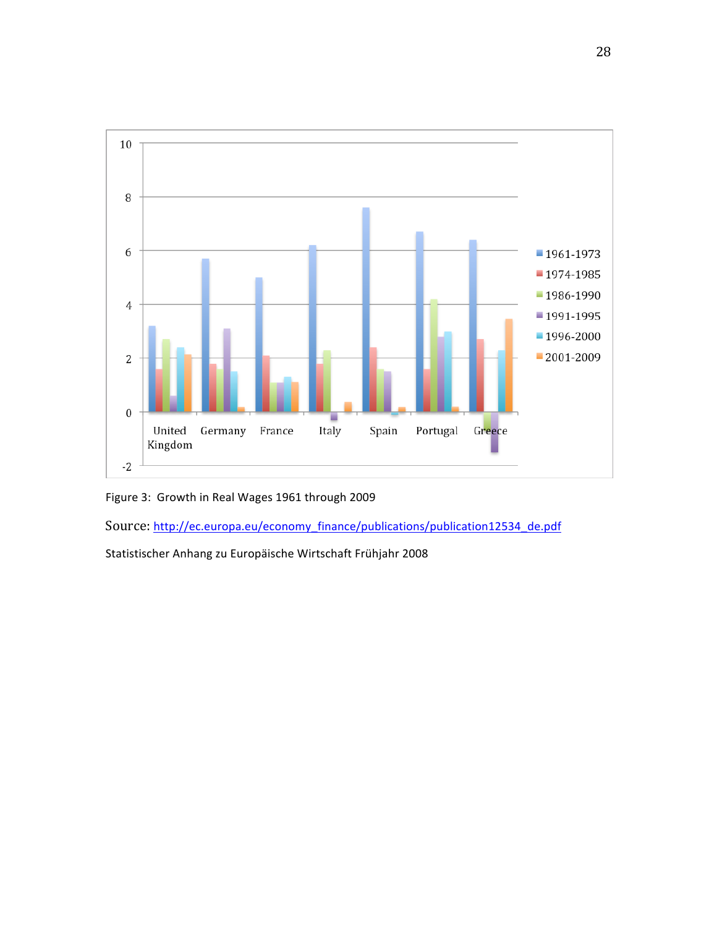

Figure 3: Growth in Real Wages 1961 through 2009

Source: http://ec.europa.eu/economy\_finance/publications/publication12534\_de.pdf

Statistischer Anhang zu Europäische Wirtschaft Frühjahr 2008